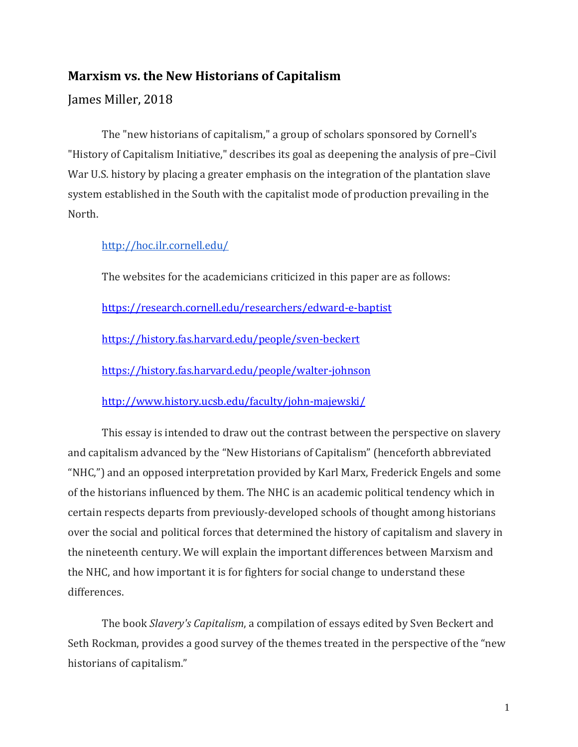# **Marxism vs. the New Historians of Capitalism**

## James Miller, 2018

The "new historians of capitalism," a group of scholars sponsored by Cornell's "History of Capitalism Initiative," describes its goal as deepening the analysis of pre–Civil War U.S. history by placing a greater emphasis on the integration of the plantation slave system established in the South with the capitalist mode of production prevailing in the North.

<http://hoc.ilr.cornell.edu/>

The websites for the academicians criticized in this paper are as follows:

<https://research.cornell.edu/researchers/edward-e-baptist>

<https://history.fas.harvard.edu/people/sven-beckert>

<https://history.fas.harvard.edu/people/walter-johnson>

<http://www.history.ucsb.edu/faculty/john-majewski/>

This essay is intended to draw out the contrast between the perspective on slavery and capitalism advanced by the "New Historians of Capitalism" (henceforth abbreviated "NHC,") and an opposed interpretation provided by Karl Marx, Frederick Engels and some of the historians influenced by them. The NHC is an academic political tendency which in certain respects departs from previously-developed schools of thought among historians over the social and political forces that determined the history of capitalism and slavery in the nineteenth century. We will explain the important differences between Marxism and the NHC, and how important it is for fighters for social change to understand these differences.

The book *Slavery's Capitalism*, a compilation of essays edited by Sven Beckert and Seth Rockman, provides a good survey of the themes treated in the perspective of the "new historians of capitalism."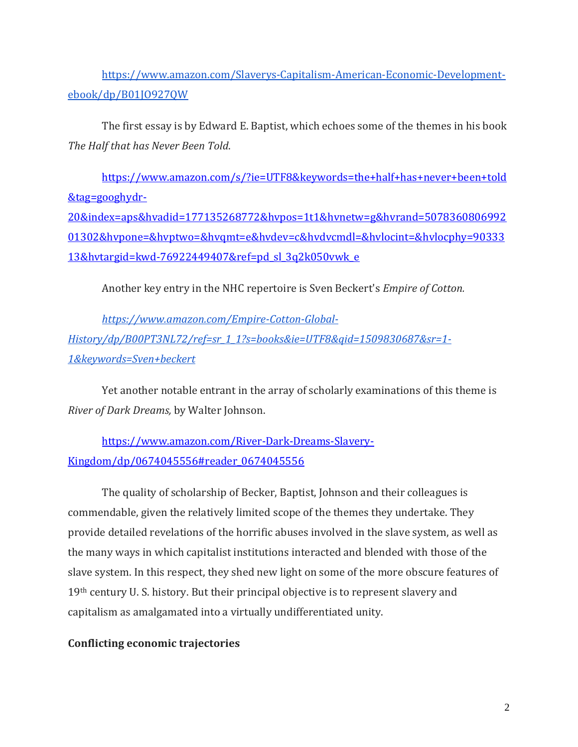[https://www.amazon.com/Slaverys-Capitalism-American-Economic-Development](https://www.amazon.com/Slaverys-Capitalism-American-Economic-Development-ebook/dp/B01JO927QW)[ebook/dp/B01JO927QW](https://www.amazon.com/Slaverys-Capitalism-American-Economic-Development-ebook/dp/B01JO927QW)

The first essay is by Edward E. Baptist, which echoes some of the themes in his book *The Half that has Never Been Told*.

[https://www.amazon.com/s/?ie=UTF8&keywords=the+half+has+never+been+told](https://www.amazon.com/s/?ie=UTF8&keywords=the+half+has+never+been+told&tag=googhydr-20&index=aps&hvadid=177135268772&hvpos=1t1&hvnetw=g&hvrand=507836080699201302&hvpone=&hvptwo=&hvqmt=e&hvdev=c&hvdvcmdl=&hvlocint=&hvlocphy=9033313&hvtargid=kwd-76922449407&ref=pd_sl_3q2k050vwk_e) [&tag=googhydr-](https://www.amazon.com/s/?ie=UTF8&keywords=the+half+has+never+been+told&tag=googhydr-20&index=aps&hvadid=177135268772&hvpos=1t1&hvnetw=g&hvrand=507836080699201302&hvpone=&hvptwo=&hvqmt=e&hvdev=c&hvdvcmdl=&hvlocint=&hvlocphy=9033313&hvtargid=kwd-76922449407&ref=pd_sl_3q2k050vwk_e)[20&index=aps&hvadid=177135268772&hvpos=1t1&hvnetw=g&hvrand=5078360806992](https://www.amazon.com/s/?ie=UTF8&keywords=the+half+has+never+been+told&tag=googhydr-20&index=aps&hvadid=177135268772&hvpos=1t1&hvnetw=g&hvrand=507836080699201302&hvpone=&hvptwo=&hvqmt=e&hvdev=c&hvdvcmdl=&hvlocint=&hvlocphy=9033313&hvtargid=kwd-76922449407&ref=pd_sl_3q2k050vwk_e) [01302&hvpone=&hvptwo=&hvqmt=e&hvdev=c&hvdvcmdl=&hvlocint=&hvlocphy=90333](https://www.amazon.com/s/?ie=UTF8&keywords=the+half+has+never+been+told&tag=googhydr-20&index=aps&hvadid=177135268772&hvpos=1t1&hvnetw=g&hvrand=507836080699201302&hvpone=&hvptwo=&hvqmt=e&hvdev=c&hvdvcmdl=&hvlocint=&hvlocphy=9033313&hvtargid=kwd-76922449407&ref=pd_sl_3q2k050vwk_e) [13&hvtargid=kwd-76922449407&ref=pd\\_sl\\_3q2k050vwk\\_e](https://www.amazon.com/s/?ie=UTF8&keywords=the+half+has+never+been+told&tag=googhydr-20&index=aps&hvadid=177135268772&hvpos=1t1&hvnetw=g&hvrand=507836080699201302&hvpone=&hvptwo=&hvqmt=e&hvdev=c&hvdvcmdl=&hvlocint=&hvlocphy=9033313&hvtargid=kwd-76922449407&ref=pd_sl_3q2k050vwk_e)

Another key entry in the NHC repertoire is Sven Beckert's *Empire of Cotton.* 

*[https://www.amazon.com/Empire-Cotton-Global-](https://www.amazon.com/Empire-Cotton-Global-History/dp/B00PT3NL72/ref=sr_1_1?s=books&ie=UTF8&qid=1509830687&sr=1-1&keywords=Sven+beckert)[History/dp/B00PT3NL72/ref=sr\\_1\\_1?s=books&ie=UTF8&qid=1509830687&sr=1-](https://www.amazon.com/Empire-Cotton-Global-History/dp/B00PT3NL72/ref=sr_1_1?s=books&ie=UTF8&qid=1509830687&sr=1-1&keywords=Sven+beckert) [1&keywords=Sven+beckert](https://www.amazon.com/Empire-Cotton-Global-History/dp/B00PT3NL72/ref=sr_1_1?s=books&ie=UTF8&qid=1509830687&sr=1-1&keywords=Sven+beckert)*

Yet another notable entrant in the array of scholarly examinations of this theme is *River of Dark Dreams,* by Walter Johnson.

[https://www.amazon.com/River-Dark-Dreams-Slavery-](https://www.amazon.com/River-Dark-Dreams-Slavery-Kingdom/dp/0674045556#reader_0674045556)[Kingdom/dp/0674045556#reader\\_0674045556](https://www.amazon.com/River-Dark-Dreams-Slavery-Kingdom/dp/0674045556#reader_0674045556)

The quality of scholarship of Becker, Baptist, Johnson and their colleagues is commendable, given the relatively limited scope of the themes they undertake. They provide detailed revelations of the horrific abuses involved in the slave system, as well as the many ways in which capitalist institutions interacted and blended with those of the slave system. In this respect, they shed new light on some of the more obscure features of 19th century U. S. history. But their principal objective is to represent slavery and capitalism as amalgamated into a virtually undifferentiated unity.

## **Conflicting economic trajectories**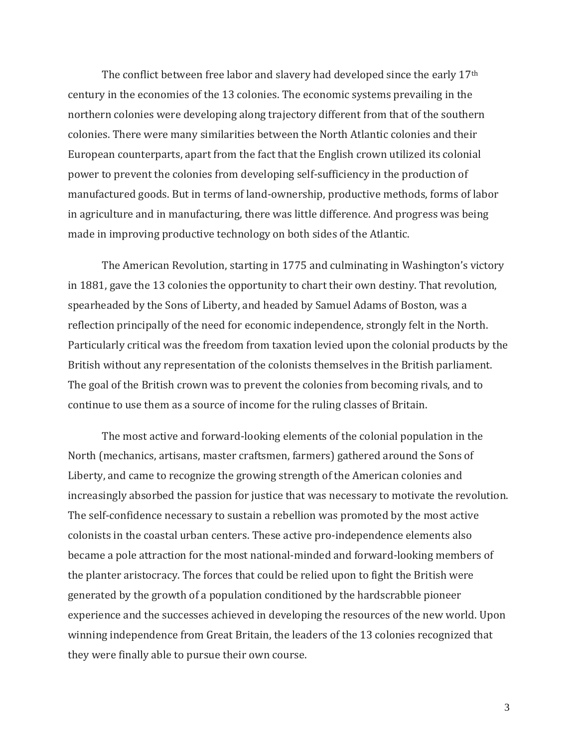The conflict between free labor and slavery had developed since the early 17<sup>th</sup> century in the economies of the 13 colonies. The economic systems prevailing in the northern colonies were developing along trajectory different from that of the southern colonies. There were many similarities between the North Atlantic colonies and their European counterparts, apart from the fact that the English crown utilized its colonial power to prevent the colonies from developing self-sufficiency in the production of manufactured goods. But in terms of land-ownership, productive methods, forms of labor in agriculture and in manufacturing, there was little difference. And progress was being made in improving productive technology on both sides of the Atlantic.

The American Revolution, starting in 1775 and culminating in Washington's victory in 1881, gave the 13 colonies the opportunity to chart their own destiny. That revolution, spearheaded by the Sons of Liberty, and headed by Samuel Adams of Boston, was a reflection principally of the need for economic independence, strongly felt in the North. Particularly critical was the freedom from taxation levied upon the colonial products by the British without any representation of the colonists themselves in the British parliament. The goal of the British crown was to prevent the colonies from becoming rivals, and to continue to use them as a source of income for the ruling classes of Britain.

The most active and forward-looking elements of the colonial population in the North (mechanics, artisans, master craftsmen, farmers) gathered around the Sons of Liberty, and came to recognize the growing strength of the American colonies and increasingly absorbed the passion for justice that was necessary to motivate the revolution. The self-confidence necessary to sustain a rebellion was promoted by the most active colonists in the coastal urban centers. These active pro-independence elements also became a pole attraction for the most national-minded and forward-looking members of the planter aristocracy. The forces that could be relied upon to fight the British were generated by the growth of a population conditioned by the hardscrabble pioneer experience and the successes achieved in developing the resources of the new world. Upon winning independence from Great Britain, the leaders of the 13 colonies recognized that they were finally able to pursue their own course.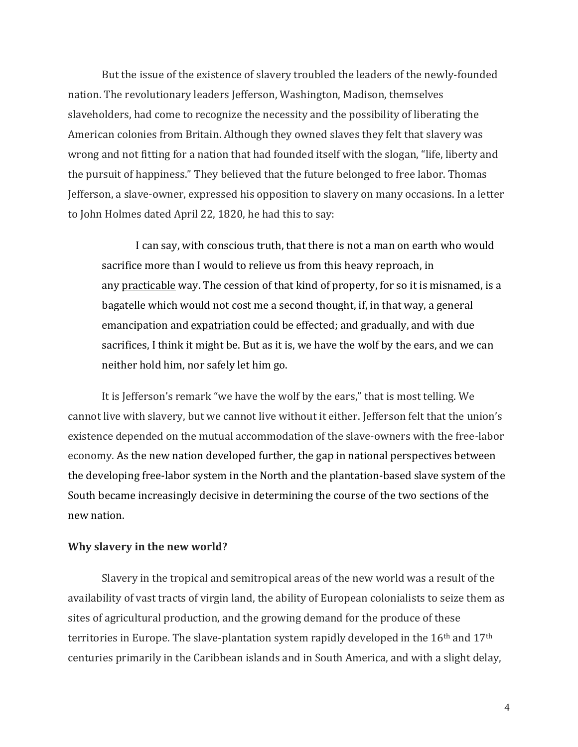But the issue of the existence of slavery troubled the leaders of the newly-founded nation. The revolutionary leaders Jefferson, Washington, Madison, themselves slaveholders, had come to recognize the necessity and the possibility of liberating the American colonies from Britain. Although they owned slaves they felt that slavery was wrong and not fitting for a nation that had founded itself with the slogan, "life, liberty and the pursuit of happiness." They believed that the future belonged to free labor. Thomas Jefferson, a slave-owner, expressed his opposition to slavery on many occasions. In a letter to John Holmes dated April 22, 1820, he had this to say:

I can say, with conscious truth, that there is not a man on earth who would sacrifice more than I would to relieve us from this heavy reproach, in any practicable way. The cession of that kind of property, for so it is misnamed, is a bagatelle which would not cost me a second thought, if, in that way, a general emancipation and expatriation could be effected; and gradually, and with due sacrifices, I think it might be. But as it is, we have the wolf by the ears, and we can neither hold him, nor safely let him go.

It is Jefferson's remark "we have the wolf by the ears," that is most telling. We cannot live with slavery, but we cannot live without it either. Jefferson felt that the union's existence depended on the mutual accommodation of the slave-owners with the free-labor economy. As the new nation developed further, the gap in national perspectives between the developing free-labor system in the North and the plantation-based slave system of the South became increasingly decisive in determining the course of the two sections of the new nation.

## **Why slavery in the new world?**

Slavery in the tropical and semitropical areas of the new world was a result of the availability of vast tracts of virgin land, the ability of European colonialists to seize them as sites of agricultural production, and the growing demand for the produce of these territories in Europe. The slave-plantation system rapidly developed in the 16<sup>th</sup> and 17<sup>th</sup> centuries primarily in the Caribbean islands and in South America, and with a slight delay,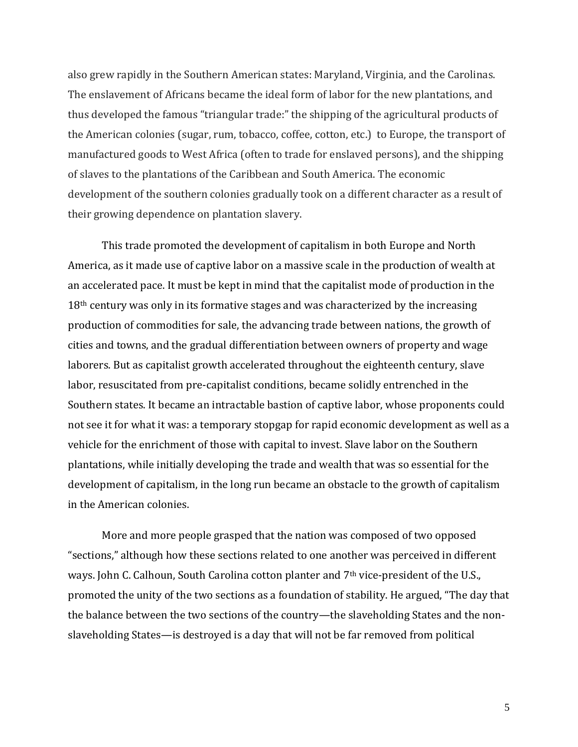also grew rapidly in the Southern American states: Maryland, Virginia, and the Carolinas. The enslavement of Africans became the ideal form of labor for the new plantations, and thus developed the famous "triangular trade:" the shipping of the agricultural products of the American colonies (sugar, rum, tobacco, coffee, cotton, etc.) to Europe, the transport of manufactured goods to West Africa (often to trade for enslaved persons), and the shipping of slaves to the plantations of the Caribbean and South America. The economic development of the southern colonies gradually took on a different character as a result of their growing dependence on plantation slavery.

This trade promoted the development of capitalism in both Europe and North America, as it made use of captive labor on a massive scale in the production of wealth at an accelerated pace. It must be kept in mind that the capitalist mode of production in the 18<sup>th</sup> century was only in its formative stages and was characterized by the increasing production of commodities for sale, the advancing trade between nations, the growth of cities and towns, and the gradual differentiation between owners of property and wage laborers. But as capitalist growth accelerated throughout the eighteenth century, slave labor, resuscitated from pre-capitalist conditions, became solidly entrenched in the Southern states. It became an intractable bastion of captive labor, whose proponents could not see it for what it was: a temporary stopgap for rapid economic development as well as a vehicle for the enrichment of those with capital to invest. Slave labor on the Southern plantations, while initially developing the trade and wealth that was so essential for the development of capitalism, in the long run became an obstacle to the growth of capitalism in the American colonies.

More and more people grasped that the nation was composed of two opposed "sections," although how these sections related to one another was perceived in different ways. John C. Calhoun, South Carolina cotton planter and 7<sup>th</sup> vice-president of the U.S., promoted the unity of the two sections as a foundation of stability. He argued, "The day that the balance between the two sections of the country—the slaveholding States and the nonslaveholding States—is destroyed is a day that will not be far removed from political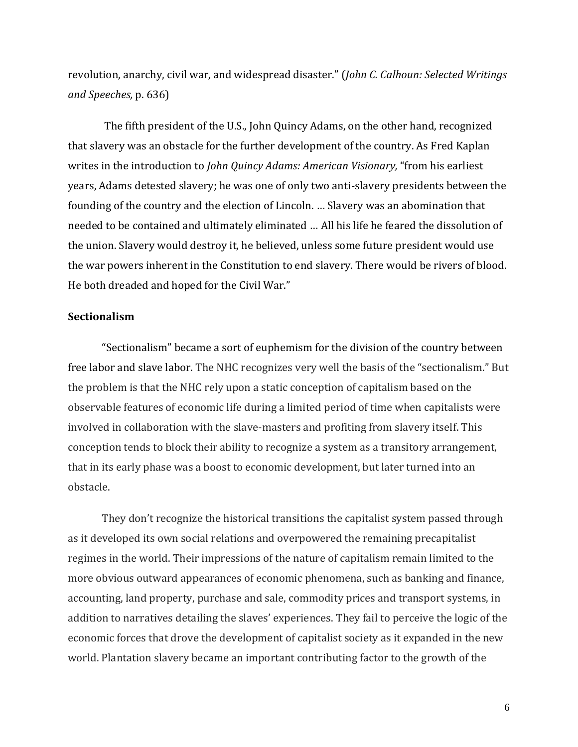revolution, anarchy, civil war, and widespread disaster." (*John C. Calhoun: Selected Writings and Speeches,* p. 636)

The fifth president of the U.S., John Quincy Adams, on the other hand, recognized that slavery was an obstacle for the further development of the country. As Fred Kaplan writes in the introduction to *John Quincy Adams: American Visionary,* "from his earliest years, Adams detested slavery; he was one of only two anti-slavery presidents between the founding of the country and the election of Lincoln. … Slavery was an abomination that needed to be contained and ultimately eliminated … All his life he feared the dissolution of the union. Slavery would destroy it, he believed, unless some future president would use the war powers inherent in the Constitution to end slavery. There would be rivers of blood. He both dreaded and hoped for the Civil War."

### **Sectionalism**

"Sectionalism" became a sort of euphemism for the division of the country between free labor and slave labor. The NHC recognizes very well the basis of the "sectionalism." But the problem is that the NHC rely upon a static conception of capitalism based on the observable features of economic life during a limited period of time when capitalists were involved in collaboration with the slave-masters and profiting from slavery itself. This conception tends to block their ability to recognize a system as a transitory arrangement, that in its early phase was a boost to economic development, but later turned into an obstacle.

They don't recognize the historical transitions the capitalist system passed through as it developed its own social relations and overpowered the remaining precapitalist regimes in the world. Their impressions of the nature of capitalism remain limited to the more obvious outward appearances of economic phenomena, such as banking and finance, accounting, land property, purchase and sale, commodity prices and transport systems, in addition to narratives detailing the slaves' experiences. They fail to perceive the logic of the economic forces that drove the development of capitalist society as it expanded in the new world. Plantation slavery became an important contributing factor to the growth of the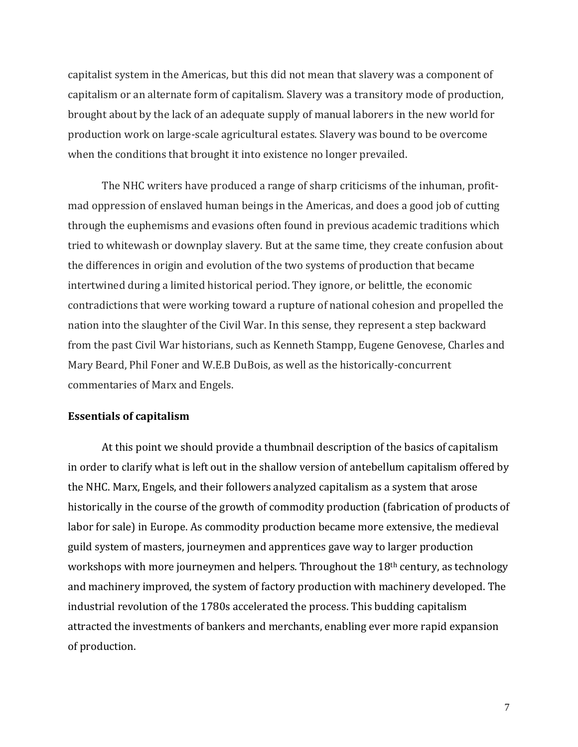capitalist system in the Americas, but this did not mean that slavery was a component of capitalism or an alternate form of capitalism. Slavery was a transitory mode of production, brought about by the lack of an adequate supply of manual laborers in the new world for production work on large-scale agricultural estates. Slavery was bound to be overcome when the conditions that brought it into existence no longer prevailed.

The NHC writers have produced a range of sharp criticisms of the inhuman, profitmad oppression of enslaved human beings in the Americas, and does a good job of cutting through the euphemisms and evasions often found in previous academic traditions which tried to whitewash or downplay slavery. But at the same time, they create confusion about the differences in origin and evolution of the two systems of production that became intertwined during a limited historical period. They ignore, or belittle, the economic contradictions that were working toward a rupture of national cohesion and propelled the nation into the slaughter of the Civil War. In this sense, they represent a step backward from the past Civil War historians, such as Kenneth Stampp, Eugene Genovese, Charles and Mary Beard, Phil Foner and W.E.B DuBois, as well as the historically-concurrent commentaries of Marx and Engels.

#### **Essentials of capitalism**

At this point we should provide a thumbnail description of the basics of capitalism in order to clarify what is left out in the shallow version of antebellum capitalism offered by the NHC. Marx, Engels, and their followers analyzed capitalism as a system that arose historically in the course of the growth of commodity production (fabrication of products of labor for sale) in Europe. As commodity production became more extensive, the medieval guild system of masters, journeymen and apprentices gave way to larger production workshops with more journeymen and helpers. Throughout the 18<sup>th</sup> century, as technology and machinery improved, the system of factory production with machinery developed. The industrial revolution of the 1780s accelerated the process. This budding capitalism attracted the investments of bankers and merchants, enabling ever more rapid expansion of production.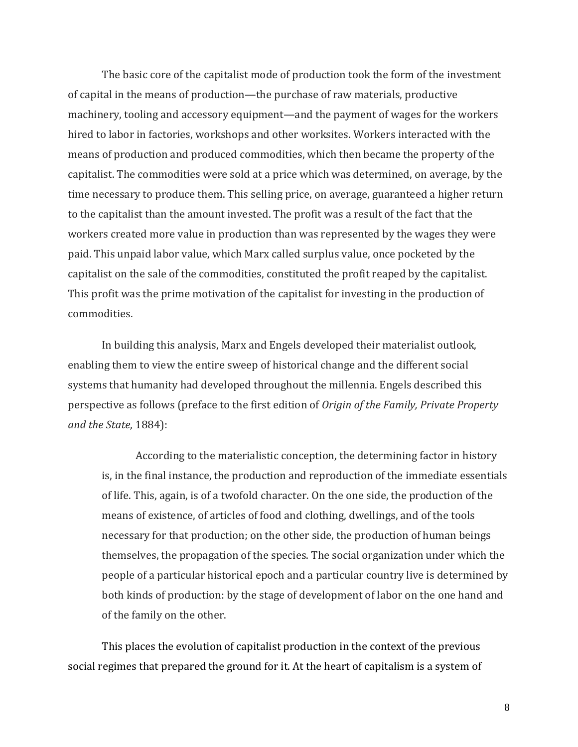The basic core of the capitalist mode of production took the form of the investment of capital in the means of production—the purchase of raw materials, productive machinery, tooling and accessory equipment—and the payment of wages for the workers hired to labor in factories, workshops and other worksites. Workers interacted with the means of production and produced commodities, which then became the property of the capitalist. The commodities were sold at a price which was determined, on average, by the time necessary to produce them. This selling price, on average, guaranteed a higher return to the capitalist than the amount invested. The profit was a result of the fact that the workers created more value in production than was represented by the wages they were paid. This unpaid labor value, which Marx called surplus value, once pocketed by the capitalist on the sale of the commodities, constituted the profit reaped by the capitalist. This profit was the prime motivation of the capitalist for investing in the production of commodities.

In building this analysis, Marx and Engels developed their materialist outlook, enabling them to view the entire sweep of historical change and the different social systems that humanity had developed throughout the millennia. Engels described this perspective as follows (preface to the first edition of *Origin of the Family, Private Property and the State*, 1884):

According to the materialistic conception, the determining factor in history is, in the final instance, the production and reproduction of the immediate essentials of life. This, again, is of a twofold character. On the one side, the production of the means of existence, of articles of food and clothing, dwellings, and of the tools necessary for that production; on the other side, the production of human beings themselves, the propagation of the species. The social organization under which the people of a particular historical epoch and a particular country live is determined by both kinds of production: by the stage of development of labor on the one hand and of the family on the other.

This places the evolution of capitalist production in the context of the previous social regimes that prepared the ground for it. At the heart of capitalism is a system of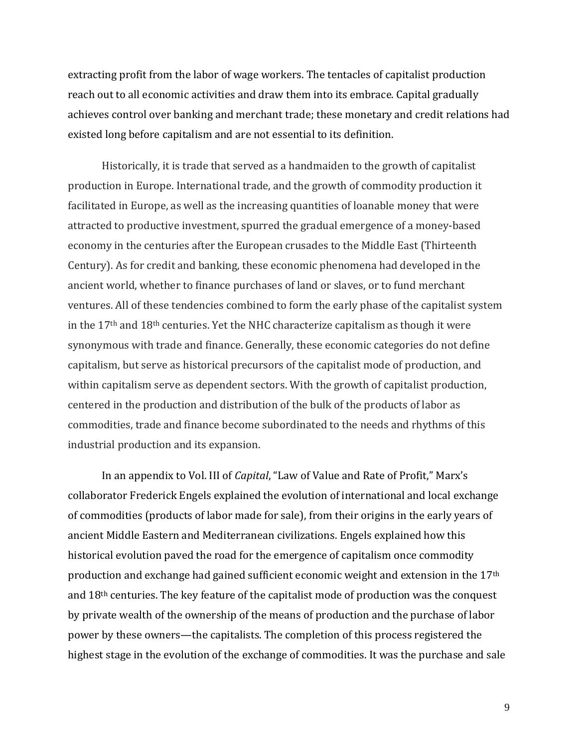extracting profit from the labor of wage workers. The tentacles of capitalist production reach out to all economic activities and draw them into its embrace. Capital gradually achieves control over banking and merchant trade; these monetary and credit relations had existed long before capitalism and are not essential to its definition.

Historically, it is trade that served as a handmaiden to the growth of capitalist production in Europe. International trade, and the growth of commodity production it facilitated in Europe, as well as the increasing quantities of loanable money that were attracted to productive investment, spurred the gradual emergence of a money-based economy in the centuries after the European crusades to the Middle East (Thirteenth Century). As for credit and banking, these economic phenomena had developed in the ancient world, whether to finance purchases of land or slaves, or to fund merchant ventures. All of these tendencies combined to form the early phase of the capitalist system in the 17th and 18th centuries. Yet the NHC characterize capitalism as though it were synonymous with trade and finance. Generally, these economic categories do not define capitalism, but serve as historical precursors of the capitalist mode of production, and within capitalism serve as dependent sectors. With the growth of capitalist production, centered in the production and distribution of the bulk of the products of labor as commodities, trade and finance become subordinated to the needs and rhythms of this industrial production and its expansion.

In an appendix to Vol. III of *Capital*, "Law of Value and Rate of Profit," Marx's collaborator Frederick Engels explained the evolution of international and local exchange of commodities (products of labor made for sale), from their origins in the early years of ancient Middle Eastern and Mediterranean civilizations. Engels explained how this historical evolution paved the road for the emergence of capitalism once commodity production and exchange had gained sufficient economic weight and extension in the 17<sup>th</sup> and 18th centuries. The key feature of the capitalist mode of production was the conquest by private wealth of the ownership of the means of production and the purchase of labor power by these owners—the capitalists. The completion of this process registered the highest stage in the evolution of the exchange of commodities. It was the purchase and sale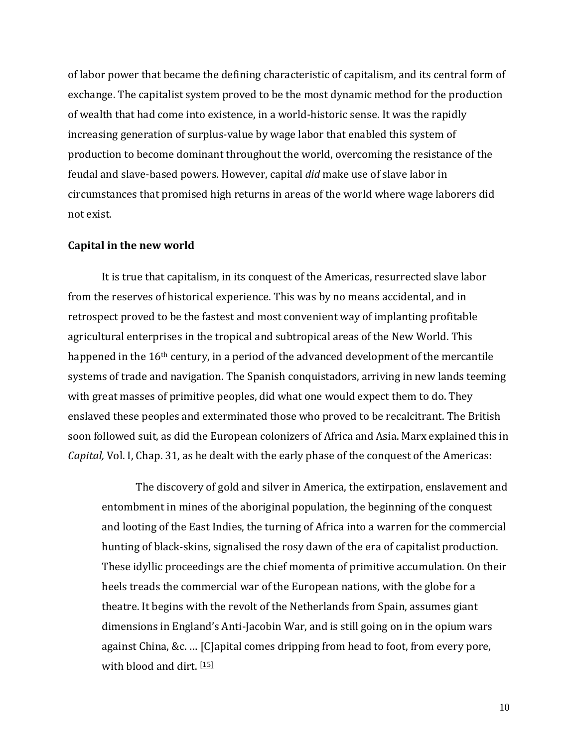of labor power that became the defining characteristic of capitalism, and its central form of exchange. The capitalist system proved to be the most dynamic method for the production of wealth that had come into existence, in a world-historic sense. It was the rapidly increasing generation of surplus-value by wage labor that enabled this system of production to become dominant throughout the world, overcoming the resistance of the feudal and slave-based powers. However, capital *did* make use of slave labor in circumstances that promised high returns in areas of the world where wage laborers did not exist.

### **Capital in the new world**

It is true that capitalism, in its conquest of the Americas, resurrected slave labor from the reserves of historical experience. This was by no means accidental, and in retrospect proved to be the fastest and most convenient way of implanting profitable agricultural enterprises in the tropical and subtropical areas of the New World. This happened in the 16<sup>th</sup> century, in a period of the advanced development of the mercantile systems of trade and navigation. The Spanish conquistadors, arriving in new lands teeming with great masses of primitive peoples, did what one would expect them to do. They enslaved these peoples and exterminated those who proved to be recalcitrant. The British soon followed suit, as did the European colonizers of Africa and Asia. Marx explained this in *Capital,* Vol. I, Chap. 31, as he dealt with the early phase of the conquest of the Americas:

The discovery of gold and silver in America, the extirpation, enslavement and entombment in mines of the aboriginal population, the beginning of the conquest and looting of the East Indies, the turning of Africa into a warren for the commercial hunting of black-skins, signalised the rosy dawn of the era of capitalist production. These idyllic proceedings are the chief momenta of primitive accumulation. On their heels treads the commercial war of the European nations, with the globe for a theatre. It begins with the revolt of the Netherlands from Spain, assumes giant dimensions in England's Anti-Jacobin War, and is still going on in the opium wars against China, &c. … [C]apital comes dripping from head to foot, from every pore, with blood and dirt. [\[15\]](https://www.marxists.org/archive/marx/works/1867-c1/ch31.htm#n15)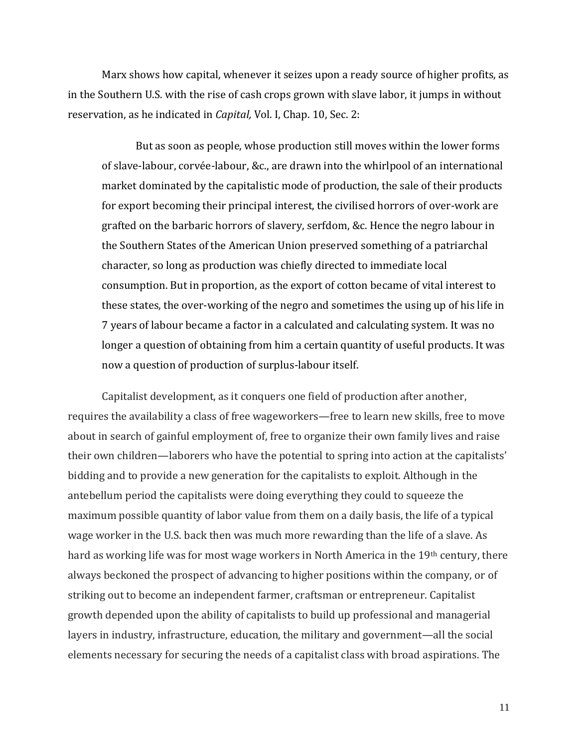Marx shows how capital, whenever it seizes upon a ready source of higher profits, as in the Southern U.S. with the rise of cash crops grown with slave labor, it jumps in without reservation, as he indicated in *Capital,* Vol. I, Chap. 10, Sec. 2:

But as soon as people, whose production still moves within the lower forms of slave-labour, corvée-labour, &c., are drawn into the whirlpool of an international market dominated by the capitalistic mode of production, the sale of their products for export becoming their principal interest, the civilised horrors of over-work are grafted on the barbaric horrors of slavery, serfdom, &c. Hence the negro labour in the Southern States of the American Union preserved something of a patriarchal character, so long as production was chiefly directed to immediate local consumption. But in proportion, as the export of cotton became of vital interest to these states, the over-working of the negro and sometimes the using up of his life in 7 years of labour became a factor in a calculated and calculating system. It was no longer a question of obtaining from him a certain quantity of useful products. It was now a question of production of surplus-labour itself.

Capitalist development, as it conquers one field of production after another, requires the availability a class of free wageworkers—free to learn new skills, free to move about in search of gainful employment of, free to organize their own family lives and raise their own children—laborers who have the potential to spring into action at the capitalists' bidding and to provide a new generation for the capitalists to exploit. Although in the antebellum period the capitalists were doing everything they could to squeeze the maximum possible quantity of labor value from them on a daily basis, the life of a typical wage worker in the U.S. back then was much more rewarding than the life of a slave. As hard as working life was for most wage workers in North America in the 19th century, there always beckoned the prospect of advancing to higher positions within the company, or of striking out to become an independent farmer, craftsman or entrepreneur. Capitalist growth depended upon the ability of capitalists to build up professional and managerial layers in industry, infrastructure, education, the military and government—all the social elements necessary for securing the needs of a capitalist class with broad aspirations. The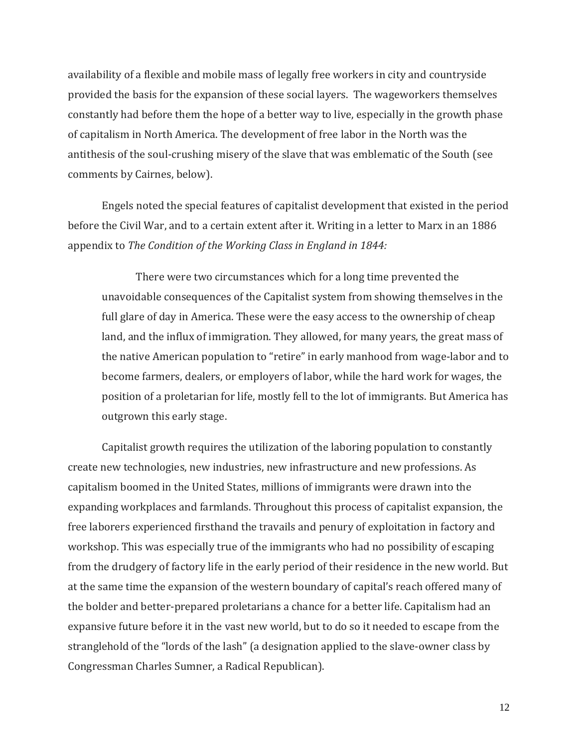availability of a flexible and mobile mass of legally free workers in city and countryside provided the basis for the expansion of these social layers. The wageworkers themselves constantly had before them the hope of a better way to live, especially in the growth phase of capitalism in North America. The development of free labor in the North was the antithesis of the soul-crushing misery of the slave that was emblematic of the South (see comments by Cairnes, below).

Engels noted the special features of capitalist development that existed in the period before the Civil War, and to a certain extent after it. Writing in a letter to Marx in an 1886 appendix to *The Condition of the Working Class in England in 1844:*

There were two circumstances which for a long time prevented the unavoidable consequences of the Capitalist system from showing themselves in the full glare of day in America. These were the easy access to the ownership of cheap land, and the influx of immigration. They allowed, for many years, the great mass of the native American population to "retire" in early manhood from wage-labor and to become farmers, dealers, or employers of labor, while the hard work for wages, the position of a proletarian for life, mostly fell to the lot of immigrants. But America has outgrown this early stage.

Capitalist growth requires the utilization of the laboring population to constantly create new technologies, new industries, new infrastructure and new professions. As capitalism boomed in the United States, millions of immigrants were drawn into the expanding workplaces and farmlands. Throughout this process of capitalist expansion, the free laborers experienced firsthand the travails and penury of exploitation in factory and workshop. This was especially true of the immigrants who had no possibility of escaping from the drudgery of factory life in the early period of their residence in the new world. But at the same time the expansion of the western boundary of capital's reach offered many of the bolder and better-prepared proletarians a chance for a better life. Capitalism had an expansive future before it in the vast new world, but to do so it needed to escape from the stranglehold of the "lords of the lash" (a designation applied to the slave-owner class by Congressman Charles Sumner, a Radical Republican).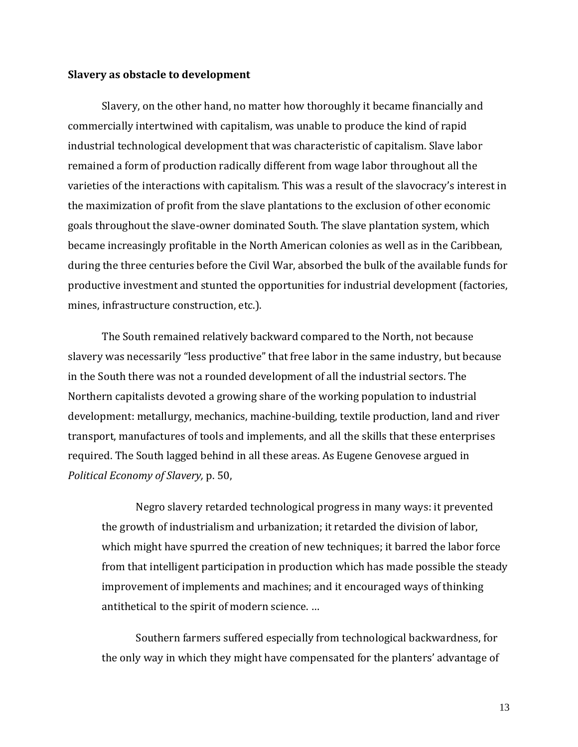#### **Slavery as obstacle to development**

Slavery, on the other hand, no matter how thoroughly it became financially and commercially intertwined with capitalism, was unable to produce the kind of rapid industrial technological development that was characteristic of capitalism. Slave labor remained a form of production radically different from wage labor throughout all the varieties of the interactions with capitalism. This was a result of the slavocracy's interest in the maximization of profit from the slave plantations to the exclusion of other economic goals throughout the slave-owner dominated South. The slave plantation system, which became increasingly profitable in the North American colonies as well as in the Caribbean, during the three centuries before the Civil War, absorbed the bulk of the available funds for productive investment and stunted the opportunities for industrial development (factories, mines, infrastructure construction, etc.).

The South remained relatively backward compared to the North, not because slavery was necessarily "less productive" that free labor in the same industry, but because in the South there was not a rounded development of all the industrial sectors. The Northern capitalists devoted a growing share of the working population to industrial development: metallurgy, mechanics, machine-building, textile production, land and river transport, manufactures of tools and implements, and all the skills that these enterprises required. The South lagged behind in all these areas. As Eugene Genovese argued in *Political Economy of Slavery,* p. 50,

Negro slavery retarded technological progress in many ways: it prevented the growth of industrialism and urbanization; it retarded the division of labor, which might have spurred the creation of new techniques; it barred the labor force from that intelligent participation in production which has made possible the steady improvement of implements and machines; and it encouraged ways of thinking antithetical to the spirit of modern science. …

Southern farmers suffered especially from technological backwardness, for the only way in which they might have compensated for the planters' advantage of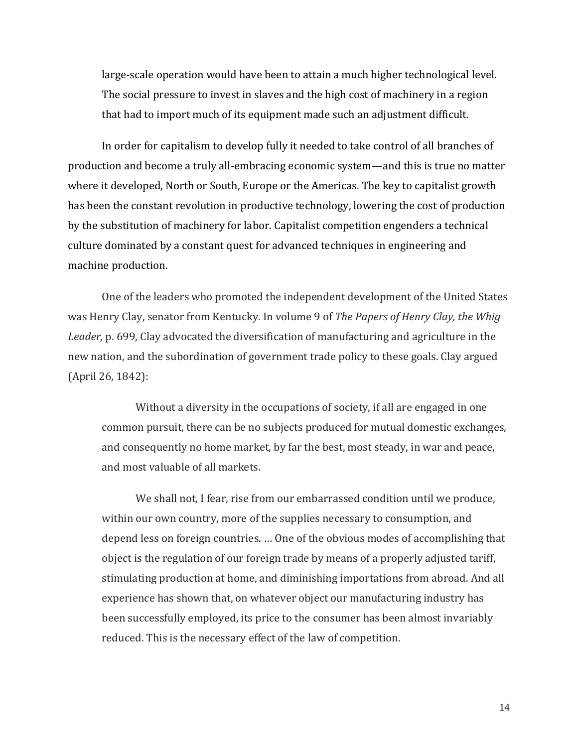large-scale operation would have been to attain a much higher technological level. The social pressure to invest in slaves and the high cost of machinery in a region that had to import much of its equipment made such an adjustment difficult.

In order for capitalism to develop fully it needed to take control of all branches of production and become a truly all-embracing economic system—and this is true no matter where it developed, North or South, Europe or the Americas. The key to capitalist growth has been the constant revolution in productive technology, lowering the cost of production by the substitution of machinery for labor. Capitalist competition engenders a technical culture dominated by a constant quest for advanced techniques in engineering and machine production.

One of the leaders who promoted the independent development of the United States was Henry Clay, senator from Kentucky. In volume 9 of *The Papers of Henry Clay, the Whig Leader,* p. 699, Clay advocated the diversification of manufacturing and agriculture in the new nation, and the subordination of government trade policy to these goals. Clay argued (April 26, 1842):

Without a diversity in the occupations of society, if all are engaged in one common pursuit, there can be no subjects produced for mutual domestic exchanges, and consequently no home market, by far the best, most steady, in war and peace, and most valuable of all markets.

We shall not, I fear, rise from our embarrassed condition until we produce, within our own country, more of the supplies necessary to consumption, and depend less on foreign countries. … One of the obvious modes of accomplishing that object is the regulation of our foreign trade by means of a properly adjusted tariff, stimulating production at home, and diminishing importations from abroad. And all experience has shown that, on whatever object our manufacturing industry has been successfully employed, its price to the consumer has been almost invariably reduced. This is the necessary effect of the law of competition.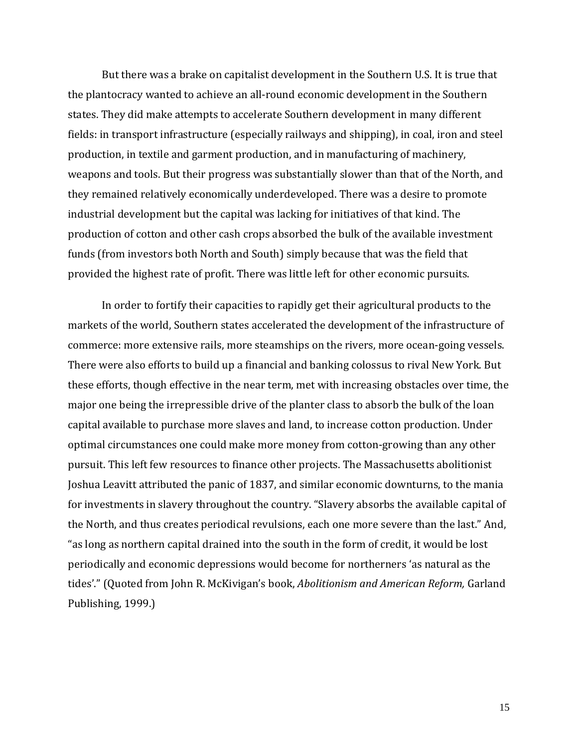But there was a brake on capitalist development in the Southern U.S. It is true that the plantocracy wanted to achieve an all-round economic development in the Southern states. They did make attempts to accelerate Southern development in many different fields: in transport infrastructure (especially railways and shipping), in coal, iron and steel production, in textile and garment production, and in manufacturing of machinery, weapons and tools. But their progress was substantially slower than that of the North, and they remained relatively economically underdeveloped. There was a desire to promote industrial development but the capital was lacking for initiatives of that kind. The production of cotton and other cash crops absorbed the bulk of the available investment funds (from investors both North and South) simply because that was the field that provided the highest rate of profit. There was little left for other economic pursuits.

In order to fortify their capacities to rapidly get their agricultural products to the markets of the world, Southern states accelerated the development of the infrastructure of commerce: more extensive rails, more steamships on the rivers, more ocean-going vessels. There were also efforts to build up a financial and banking colossus to rival New York. But these efforts, though effective in the near term, met with increasing obstacles over time, the major one being the irrepressible drive of the planter class to absorb the bulk of the loan capital available to purchase more slaves and land, to increase cotton production. Under optimal circumstances one could make more money from cotton-growing than any other pursuit. This left few resources to finance other projects. The Massachusetts abolitionist Joshua Leavitt attributed the panic of 1837, and similar economic downturns, to the mania for investments in slavery throughout the country. "Slavery absorbs the available capital of the North, and thus creates periodical revulsions, each one more severe than the last." And, "as long as northern capital drained into the south in the form of credit, it would be lost periodically and economic depressions would become for northerners 'as natural as the tides'." (Quoted from John R. McKivigan's book, *Abolitionism and American Reform,* Garland Publishing, 1999.)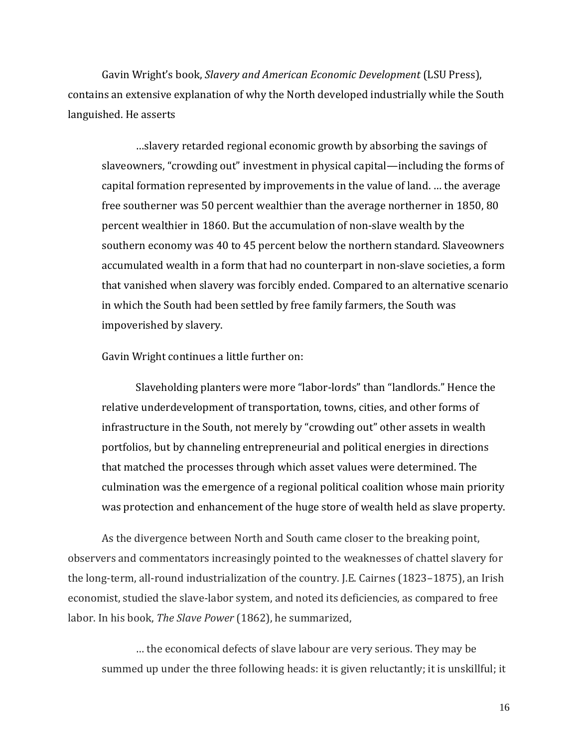Gavin Wright's book, *Slavery and American Economic Development* (LSU Press), contains an extensive explanation of why the North developed industrially while the South languished. He asserts

…slavery retarded regional economic growth by absorbing the savings of slaveowners, "crowding out" investment in physical capital—including the forms of capital formation represented by improvements in the value of land. … the average free southerner was 50 percent wealthier than the average northerner in 1850, 80 percent wealthier in 1860. But the accumulation of non-slave wealth by the southern economy was 40 to 45 percent below the northern standard. Slaveowners accumulated wealth in a form that had no counterpart in non-slave societies, a form that vanished when slavery was forcibly ended. Compared to an alternative scenario in which the South had been settled by free family farmers, the South was impoverished by slavery.

Gavin Wright continues a little further on:

Slaveholding planters were more "labor-lords" than "landlords." Hence the relative underdevelopment of transportation, towns, cities, and other forms of infrastructure in the South, not merely by "crowding out" other assets in wealth portfolios, but by channeling entrepreneurial and political energies in directions that matched the processes through which asset values were determined. The culmination was the emergence of a regional political coalition whose main priority was protection and enhancement of the huge store of wealth held as slave property.

As the divergence between North and South came closer to the breaking point, observers and commentators increasingly pointed to the weaknesses of chattel slavery for the long-term, all-round industrialization of the country. J.E. Cairnes (1823–1875), an Irish economist, studied the slave-labor system, and noted its deficiencies, as compared to free labor. In his book, *The Slave Power* (1862), he summarized,

… the economical defects of slave labour are very serious. They may be summed up under the three following heads: it is given reluctantly; it is unskillful; it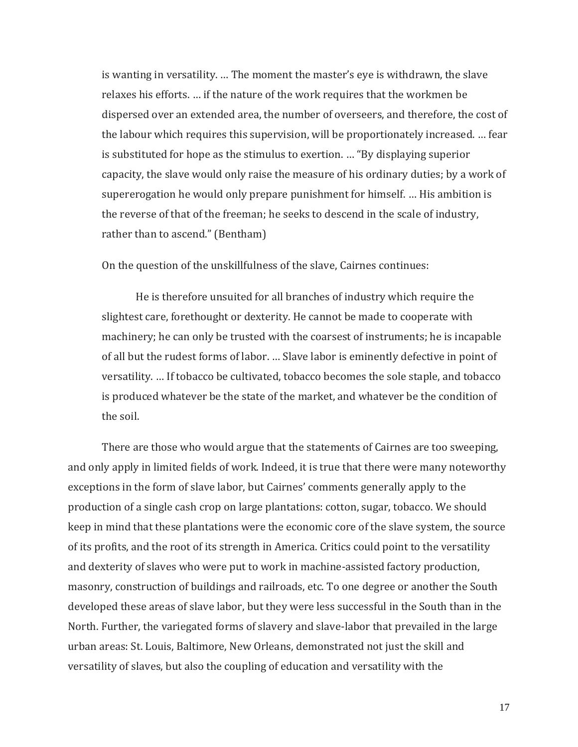is wanting in versatility. … The moment the master's eye is withdrawn, the slave relaxes his efforts. … if the nature of the work requires that the workmen be dispersed over an extended area, the number of overseers, and therefore, the cost of the labour which requires this supervision, will be proportionately increased. … fear is substituted for hope as the stimulus to exertion. … "By displaying superior capacity, the slave would only raise the measure of his ordinary duties; by a work of supererogation he would only prepare punishment for himself. … His ambition is the reverse of that of the freeman; he seeks to descend in the scale of industry, rather than to ascend." (Bentham)

On the question of the unskillfulness of the slave, Cairnes continues:

He is therefore unsuited for all branches of industry which require the slightest care, forethought or dexterity. He cannot be made to cooperate with machinery; he can only be trusted with the coarsest of instruments; he is incapable of all but the rudest forms of labor. … Slave labor is eminently defective in point of versatility. … If tobacco be cultivated, tobacco becomes the sole staple, and tobacco is produced whatever be the state of the market, and whatever be the condition of the soil.

There are those who would argue that the statements of Cairnes are too sweeping, and only apply in limited fields of work. Indeed, it is true that there were many noteworthy exceptions in the form of slave labor, but Cairnes' comments generally apply to the production of a single cash crop on large plantations: cotton, sugar, tobacco. We should keep in mind that these plantations were the economic core of the slave system, the source of its profits, and the root of its strength in America. Critics could point to the versatility and dexterity of slaves who were put to work in machine-assisted factory production, masonry, construction of buildings and railroads, etc. To one degree or another the South developed these areas of slave labor, but they were less successful in the South than in the North. Further, the variegated forms of slavery and slave-labor that prevailed in the large urban areas: St. Louis, Baltimore, New Orleans, demonstrated not just the skill and versatility of slaves, but also the coupling of education and versatility with the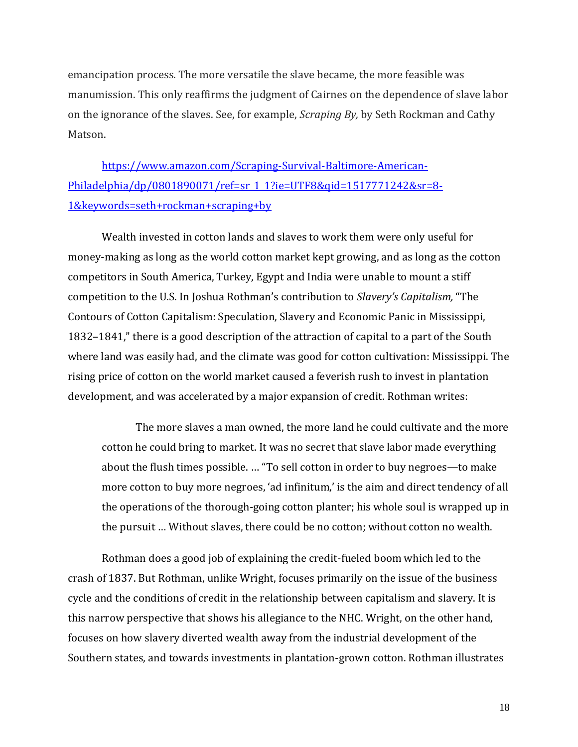emancipation process. The more versatile the slave became, the more feasible was manumission. This only reaffirms the judgment of Cairnes on the dependence of slave labor on the ignorance of the slaves. See, for example, *Scraping By,* by Seth Rockman and Cathy Matson.

[https://www.amazon.com/Scraping-Survival-Baltimore-American-](https://www.amazon.com/Scraping-Survival-Baltimore-American-Philadelphia/dp/0801890071/ref=sr_1_1?ie=UTF8&qid=1517771242&sr=8-1&keywords=seth+rockman+scraping+by)[Philadelphia/dp/0801890071/ref=sr\\_1\\_1?ie=UTF8&qid=1517771242&sr=8-](https://www.amazon.com/Scraping-Survival-Baltimore-American-Philadelphia/dp/0801890071/ref=sr_1_1?ie=UTF8&qid=1517771242&sr=8-1&keywords=seth+rockman+scraping+by) [1&keywords=seth+rockman+scraping+by](https://www.amazon.com/Scraping-Survival-Baltimore-American-Philadelphia/dp/0801890071/ref=sr_1_1?ie=UTF8&qid=1517771242&sr=8-1&keywords=seth+rockman+scraping+by)

Wealth invested in cotton lands and slaves to work them were only useful for money-making as long as the world cotton market kept growing, and as long as the cotton competitors in South America, Turkey, Egypt and India were unable to mount a stiff competition to the U.S. In Joshua Rothman's contribution to *Slavery's Capitalism,* "The Contours of Cotton Capitalism: Speculation, Slavery and Economic Panic in Mississippi, 1832–1841," there is a good description of the attraction of capital to a part of the South where land was easily had, and the climate was good for cotton cultivation: Mississippi. The rising price of cotton on the world market caused a feverish rush to invest in plantation development, and was accelerated by a major expansion of credit. Rothman writes:

The more slaves a man owned, the more land he could cultivate and the more cotton he could bring to market. It was no secret that slave labor made everything about the flush times possible. … "To sell cotton in order to buy negroes—to make more cotton to buy more negroes, 'ad infinitum,' is the aim and direct tendency of all the operations of the thorough-going cotton planter; his whole soul is wrapped up in the pursuit … Without slaves, there could be no cotton; without cotton no wealth.

Rothman does a good job of explaining the credit-fueled boom which led to the crash of 1837. But Rothman, unlike Wright, focuses primarily on the issue of the business cycle and the conditions of credit in the relationship between capitalism and slavery. It is this narrow perspective that shows his allegiance to the NHC. Wright, on the other hand, focuses on how slavery diverted wealth away from the industrial development of the Southern states, and towards investments in plantation-grown cotton. Rothman illustrates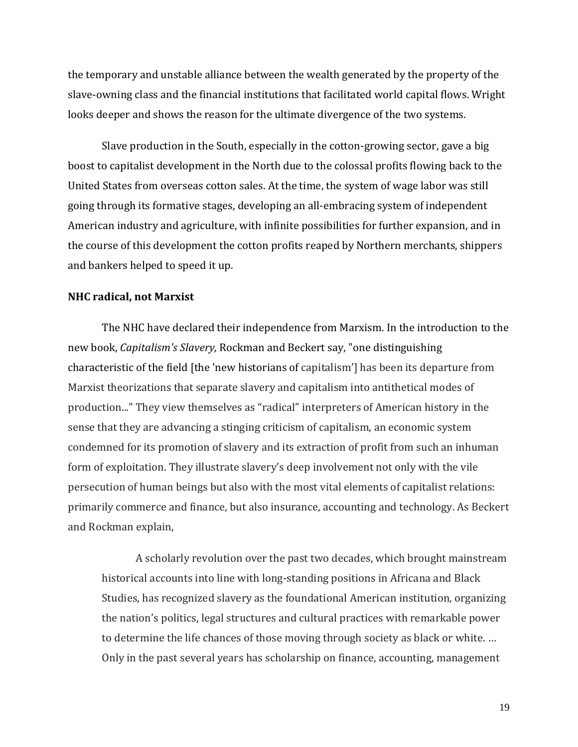the temporary and unstable alliance between the wealth generated by the property of the slave-owning class and the financial institutions that facilitated world capital flows. Wright looks deeper and shows the reason for the ultimate divergence of the two systems.

Slave production in the South, especially in the cotton-growing sector, gave a big boost to capitalist development in the North due to the colossal profits flowing back to the United States from overseas cotton sales. At the time, the system of wage labor was still going through its formative stages, developing an all-embracing system of independent American industry and agriculture, with infinite possibilities for further expansion, and in the course of this development the cotton profits reaped by Northern merchants, shippers and bankers helped to speed it up.

#### **NHC radical, not Marxist**

The NHC have declared their independence from Marxism. In the introduction to the new book, *Capitalism's Slavery,* Rockman and Beckert say, "one distinguishing characteristic of the field [the 'new historians of capitalism'] has been its departure from Marxist theorizations that separate slavery and capitalism into antithetical modes of production..." They view themselves as "radical" interpreters of American history in the sense that they are advancing a stinging criticism of capitalism, an economic system condemned for its promotion of slavery and its extraction of profit from such an inhuman form of exploitation. They illustrate slavery's deep involvement not only with the vile persecution of human beings but also with the most vital elements of capitalist relations: primarily commerce and finance, but also insurance, accounting and technology. As Beckert and Rockman explain,

A scholarly revolution over the past two decades, which brought mainstream historical accounts into line with long-standing positions in Africana and Black Studies, has recognized slavery as the foundational American institution, organizing the nation's politics, legal structures and cultural practices with remarkable power to determine the life chances of those moving through society as black or white. … Only in the past several years has scholarship on finance, accounting, management

19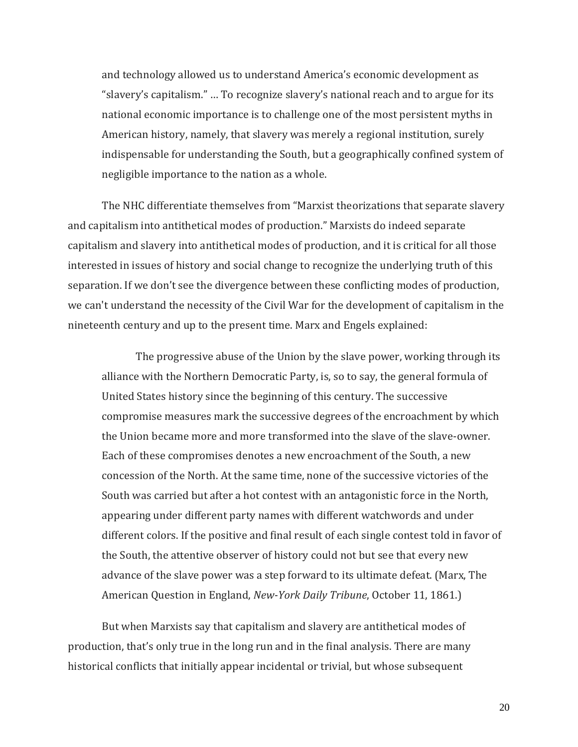and technology allowed us to understand America's economic development as "slavery's capitalism." … To recognize slavery's national reach and to argue for its national economic importance is to challenge one of the most persistent myths in American history, namely, that slavery was merely a regional institution, surely indispensable for understanding the South, but a geographically confined system of negligible importance to the nation as a whole.

The NHC differentiate themselves from "Marxist theorizations that separate slavery and capitalism into antithetical modes of production." Marxists do indeed separate capitalism and slavery into antithetical modes of production, and it is critical for all those interested in issues of history and social change to recognize the underlying truth of this separation. If we don't see the divergence between these conflicting modes of production, we can't understand the necessity of the Civil War for the development of capitalism in the nineteenth century and up to the present time. Marx and Engels explained:

The progressive abuse of the Union by the slave power, working through its alliance with the Northern Democratic Party, is, so to say, the general formula of United States history since the beginning of this century. The successive compromise measures mark the successive degrees of the encroachment by which the Union became more and more transformed into the slave of the slave-owner. Each of these compromises denotes a new encroachment of the South, a new concession of the North. At the same time, none of the successive victories of the South was carried but after a hot contest with an antagonistic force in the North, appearing under different party names with different watchwords and under different colors. If the positive and final result of each single contest told in favor of the South, the attentive observer of history could not but see that every new advance of the slave power was a step forward to its ultimate defeat. (Marx, The American Question in England, *New-York Daily Tribune*, October 11, 1861.)

But when Marxists say that capitalism and slavery are antithetical modes of production, that's only true in the long run and in the final analysis. There are many historical conflicts that initially appear incidental or trivial, but whose subsequent

20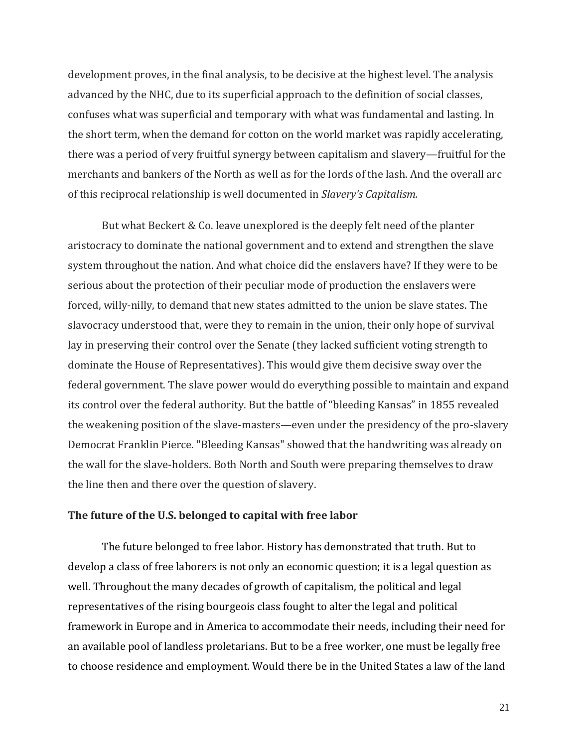development proves, in the final analysis, to be decisive at the highest level. The analysis advanced by the NHC, due to its superficial approach to the definition of social classes, confuses what was superficial and temporary with what was fundamental and lasting. In the short term, when the demand for cotton on the world market was rapidly accelerating, there was a period of very fruitful synergy between capitalism and slavery—fruitful for the merchants and bankers of the North as well as for the lords of the lash. And the overall arc of this reciprocal relationship is well documented in *Slavery's Capitalism.*

But what Beckert & Co. leave unexplored is the deeply felt need of the planter aristocracy to dominate the national government and to extend and strengthen the slave system throughout the nation. And what choice did the enslavers have? If they were to be serious about the protection of their peculiar mode of production the enslavers were forced, willy-nilly, to demand that new states admitted to the union be slave states. The slavocracy understood that, were they to remain in the union, their only hope of survival lay in preserving their control over the Senate (they lacked sufficient voting strength to dominate the House of Representatives). This would give them decisive sway over the federal government. The slave power would do everything possible to maintain and expand its control over the federal authority. But the battle of "bleeding Kansas" in 1855 revealed the weakening position of the slave-masters—even under the presidency of the pro-slavery Democrat Franklin Pierce. "Bleeding Kansas" showed that the handwriting was already on the wall for the slave-holders. Both North and South were preparing themselves to draw the line then and there over the question of slavery.

#### **The future of the U.S. belonged to capital with free labor**

The future belonged to free labor. History has demonstrated that truth. But to develop a class of free laborers is not only an economic question; it is a legal question as well. Throughout the many decades of growth of capitalism, the political and legal representatives of the rising bourgeois class fought to alter the legal and political framework in Europe and in America to accommodate their needs, including their need for an available pool of landless proletarians. But to be a free worker, one must be legally free to choose residence and employment. Would there be in the United States a law of the land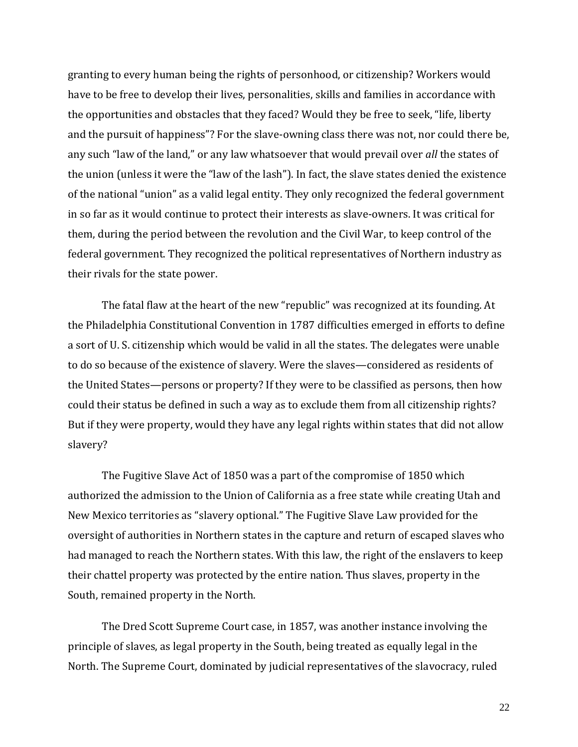granting to every human being the rights of personhood, or citizenship? Workers would have to be free to develop their lives, personalities, skills and families in accordance with the opportunities and obstacles that they faced? Would they be free to seek, "life, liberty and the pursuit of happiness"? For the slave-owning class there was not, nor could there be, any such "law of the land," or any law whatsoever that would prevail over *all* the states of the union (unless it were the "law of the lash"). In fact, the slave states denied the existence of the national "union" as a valid legal entity. They only recognized the federal government in so far as it would continue to protect their interests as slave-owners. It was critical for them, during the period between the revolution and the Civil War, to keep control of the federal government. They recognized the political representatives of Northern industry as their rivals for the state power.

The fatal flaw at the heart of the new "republic" was recognized at its founding. At the Philadelphia Constitutional Convention in 1787 difficulties emerged in efforts to define a sort of U. S. citizenship which would be valid in all the states. The delegates were unable to do so because of the existence of slavery. Were the slaves—considered as residents of the United States—persons or property? If they were to be classified as persons, then how could their status be defined in such a way as to exclude them from all citizenship rights? But if they were property, would they have any legal rights within states that did not allow slavery?

The Fugitive Slave Act of 1850 was a part of the compromise of 1850 which authorized the admission to the Union of California as a free state while creating Utah and New Mexico territories as "slavery optional." The Fugitive Slave Law provided for the oversight of authorities in Northern states in the capture and return of escaped slaves who had managed to reach the Northern states. With this law, the right of the enslavers to keep their chattel property was protected by the entire nation. Thus slaves, property in the South, remained property in the North.

The Dred Scott Supreme Court case, in 1857, was another instance involving the principle of slaves, as legal property in the South, being treated as equally legal in the North. The Supreme Court, dominated by judicial representatives of the slavocracy, ruled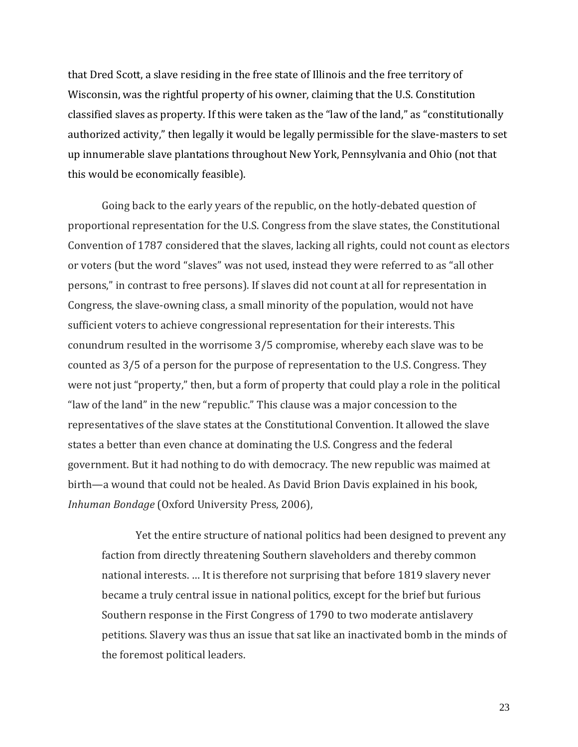that Dred Scott, a slave residing in the free state of Illinois and the free territory of Wisconsin, was the rightful property of his owner, claiming that the U.S. Constitution classified slaves as property. If this were taken as the "law of the land," as "constitutionally authorized activity," then legally it would be legally permissible for the slave-masters to set up innumerable slave plantations throughout New York, Pennsylvania and Ohio (not that this would be economically feasible).

Going back to the early years of the republic, on the hotly-debated question of proportional representation for the U.S. Congress from the slave states, the Constitutional Convention of 1787 considered that the slaves, lacking all rights, could not count as electors or voters (but the word "slaves" was not used, instead they were referred to as "all other persons," in contrast to free persons). If slaves did not count at all for representation in Congress, the slave-owning class, a small minority of the population, would not have sufficient voters to achieve congressional representation for their interests. This conundrum resulted in the worrisome 3/5 compromise, whereby each slave was to be counted as 3/5 of a person for the purpose of representation to the U.S. Congress. They were not just "property," then, but a form of property that could play a role in the political "law of the land" in the new "republic." This clause was a major concession to the representatives of the slave states at the Constitutional Convention. It allowed the slave states a better than even chance at dominating the U.S. Congress and the federal government. But it had nothing to do with democracy. The new republic was maimed at birth—a wound that could not be healed. As David Brion Davis explained in his book, *Inhuman Bondage* (Oxford University Press, 2006),

Yet the entire structure of national politics had been designed to prevent any faction from directly threatening Southern slaveholders and thereby common national interests. … It is therefore not surprising that before 1819 slavery never became a truly central issue in national politics, except for the brief but furious Southern response in the First Congress of 1790 to two moderate antislavery petitions. Slavery was thus an issue that sat like an inactivated bomb in the minds of the foremost political leaders.

23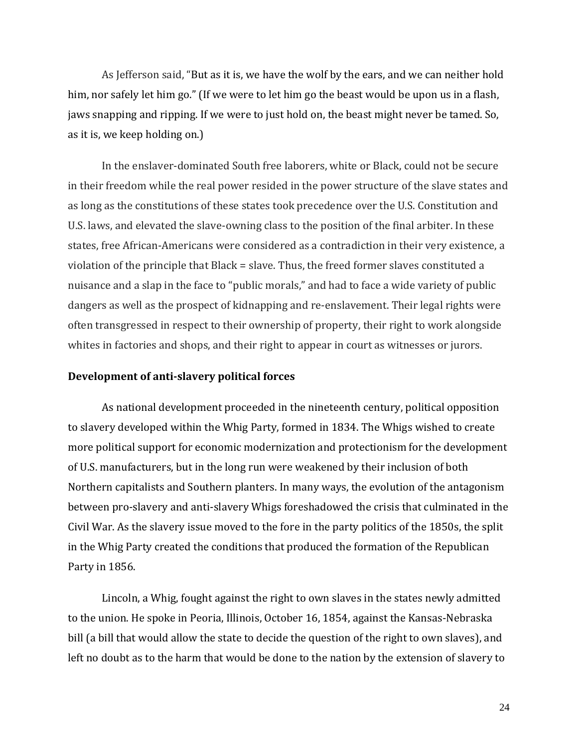As Jefferson said, "But as it is, we have the wolf by the ears, and we can neither hold him, nor safely let him go." (If we were to let him go the beast would be upon us in a flash, jaws snapping and ripping. If we were to just hold on, the beast might never be tamed. So, as it is, we keep holding on.)

In the enslaver-dominated South free laborers, white or Black, could not be secure in their freedom while the real power resided in the power structure of the slave states and as long as the constitutions of these states took precedence over the U.S. Constitution and U.S. laws, and elevated the slave-owning class to the position of the final arbiter. In these states, free African-Americans were considered as a contradiction in their very existence, a violation of the principle that Black = slave. Thus, the freed former slaves constituted a nuisance and a slap in the face to "public morals," and had to face a wide variety of public dangers as well as the prospect of kidnapping and re-enslavement. Their legal rights were often transgressed in respect to their ownership of property, their right to work alongside whites in factories and shops, and their right to appear in court as witnesses or jurors.

#### **Development of anti-slavery political forces**

As national development proceeded in the nineteenth century, political opposition to slavery developed within the Whig Party, formed in 1834. The Whigs wished to create more political support for economic modernization and protectionism for the development of U.S. manufacturers, but in the long run were weakened by their inclusion of both Northern capitalists and Southern planters. In many ways, the evolution of the antagonism between pro-slavery and anti-slavery Whigs foreshadowed the crisis that culminated in the Civil War. As the slavery issue moved to the fore in the party politics of the 1850s, the split in the Whig Party created the conditions that produced the formation of the Republican Party in 1856.

Lincoln, a Whig, fought against the right to own slaves in the states newly admitted to the union. He spoke in Peoria, Illinois, October 16, 1854, against the Kansas-Nebraska bill (a bill that would allow the state to decide the question of the right to own slaves), and left no doubt as to the harm that would be done to the nation by the extension of slavery to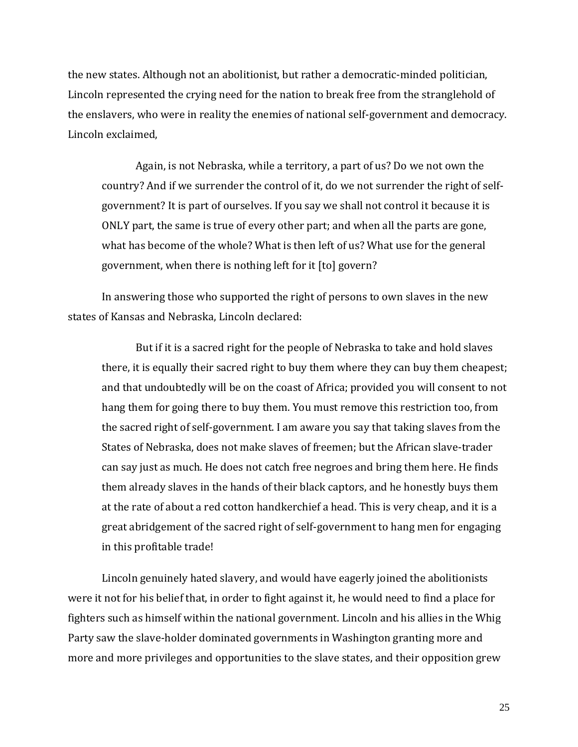the new states. Although not an abolitionist, but rather a democratic-minded politician, Lincoln represented the crying need for the nation to break free from the stranglehold of the enslavers, who were in reality the enemies of national self-government and democracy. Lincoln exclaimed,

Again, is not Nebraska, while a territory, a part of us? Do we not own the country? And if we surrender the control of it, do we not surrender the right of selfgovernment? It is part of ourselves. If you say we shall not control it because it is ONLY part, the same is true of every other part; and when all the parts are gone, what has become of the whole? What is then left of us? What use for the general government, when there is nothing left for it [to] govern?

In answering those who supported the right of persons to own slaves in the new states of Kansas and Nebraska, Lincoln declared:

But if it is a sacred right for the people of Nebraska to take and hold slaves there, it is equally their sacred right to buy them where they can buy them cheapest; and that undoubtedly will be on the coast of Africa; provided you will consent to not hang them for going there to buy them. You must remove this restriction too, from the sacred right of self-government. I am aware you say that taking slaves from the States of Nebraska, does not make slaves of freemen; but the African slave-trader can say just as much. He does not catch free negroes and bring them here. He finds them already slaves in the hands of their black captors, and he honestly buys them at the rate of about a red cotton handkerchief a head. This is very cheap, and it is a great abridgement of the sacred right of self-government to hang men for engaging in this profitable trade!

Lincoln genuinely hated slavery, and would have eagerly joined the abolitionists were it not for his belief that, in order to fight against it, he would need to find a place for fighters such as himself within the national government. Lincoln and his allies in the Whig Party saw the slave-holder dominated governments in Washington granting more and more and more privileges and opportunities to the slave states, and their opposition grew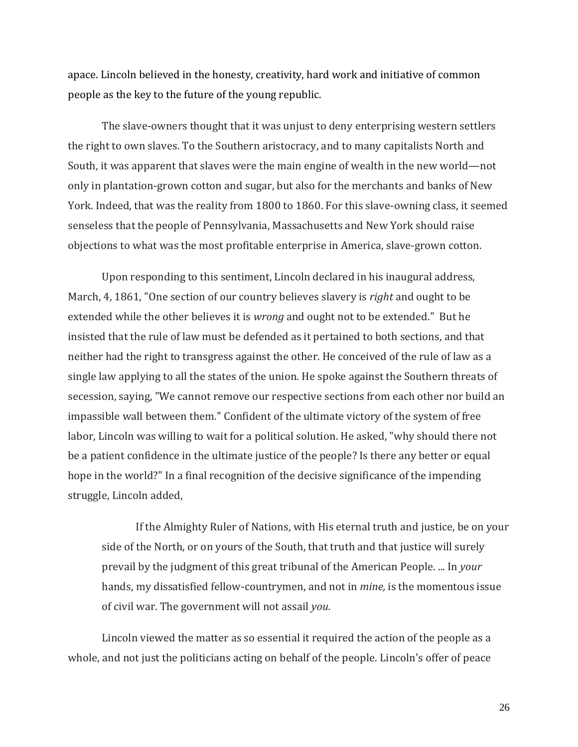apace. Lincoln believed in the honesty, creativity, hard work and initiative of common people as the key to the future of the young republic.

The slave-owners thought that it was unjust to deny enterprising western settlers the right to own slaves. To the Southern aristocracy, and to many capitalists North and South, it was apparent that slaves were the main engine of wealth in the new world—not only in plantation-grown cotton and sugar, but also for the merchants and banks of New York. Indeed, that was the reality from 1800 to 1860. For this slave-owning class, it seemed senseless that the people of Pennsylvania, Massachusetts and New York should raise objections to what was the most profitable enterprise in America, slave-grown cotton.

Upon responding to this sentiment, Lincoln declared in his inaugural address, March, 4, 1861, "One section of our country believes slavery is *right* and ought to be extended while the other believes it is *wrong* and ought not to be extended." But he insisted that the rule of law must be defended as it pertained to both sections, and that neither had the right to transgress against the other. He conceived of the rule of law as a single law applying to all the states of the union. He spoke against the Southern threats of secession, saying, "We cannot remove our respective sections from each other nor build an impassible wall between them." Confident of the ultimate victory of the system of free labor, Lincoln was willing to wait for a political solution. He asked, "why should there not be a patient confidence in the ultimate justice of the people? Is there any better or equal hope in the world?" In a final recognition of the decisive significance of the impending struggle, Lincoln added,

If the Almighty Ruler of Nations, with His eternal truth and justice, be on your side of the North, or on yours of the South, that truth and that justice will surely prevail by the judgment of this great tribunal of the American People. ... In *your* hands, my dissatisfied fellow-countrymen, and not in *mine,* is the momentous issue of civil war. The government will not assail *you.*

Lincoln viewed the matter as so essential it required the action of the people as a whole, and not just the politicians acting on behalf of the people. Lincoln's offer of peace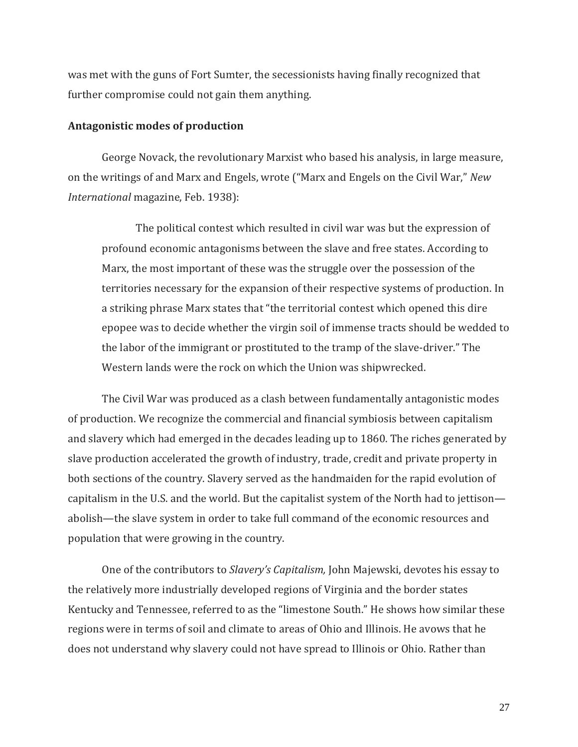was met with the guns of Fort Sumter, the secessionists having finally recognized that further compromise could not gain them anything.

## **Antagonistic modes of production**

George Novack, the revolutionary Marxist who based his analysis, in large measure, on the writings of and Marx and Engels, wrote ("Marx and Engels on the Civil War," *New International* magazine, Feb. 1938):

The political contest which resulted in civil war was but the expression of profound economic antagonisms between the slave and free states. According to Marx, the most important of these was the struggle over the possession of the territories necessary for the expansion of their respective systems of production. In a striking phrase Marx states that "the territorial contest which opened this dire epopee was to decide whether the virgin soil of immense tracts should be wedded to the labor of the immigrant or prostituted to the tramp of the slave-driver." The Western lands were the rock on which the Union was shipwrecked.

The Civil War was produced as a clash between fundamentally antagonistic modes of production. We recognize the commercial and financial symbiosis between capitalism and slavery which had emerged in the decades leading up to 1860. The riches generated by slave production accelerated the growth of industry, trade, credit and private property in both sections of the country. Slavery served as the handmaiden for the rapid evolution of capitalism in the U.S. and the world. But the capitalist system of the North had to jettison abolish—the slave system in order to take full command of the economic resources and population that were growing in the country.

One of the contributors to *Slavery's Capitalism,* John Majewski, devotes his essay to the relatively more industrially developed regions of Virginia and the border states Kentucky and Tennessee, referred to as the "limestone South." He shows how similar these regions were in terms of soil and climate to areas of Ohio and Illinois. He avows that he does not understand why slavery could not have spread to Illinois or Ohio. Rather than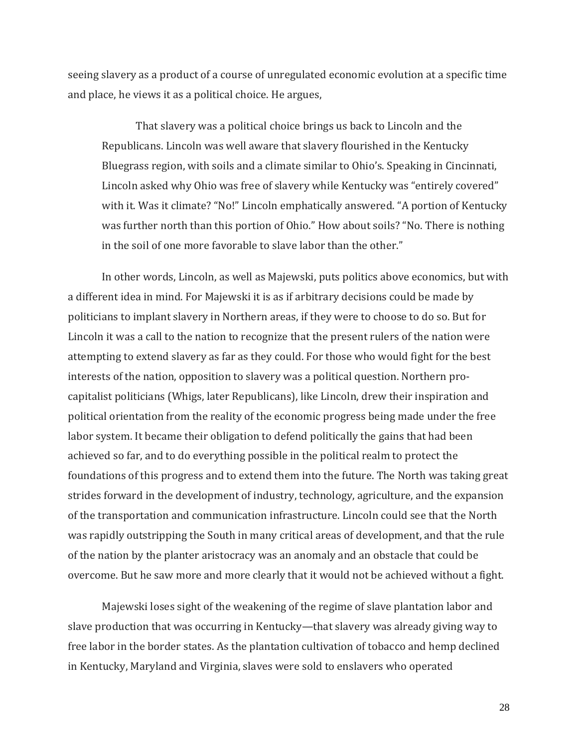seeing slavery as a product of a course of unregulated economic evolution at a specific time and place, he views it as a political choice. He argues,

That slavery was a political choice brings us back to Lincoln and the Republicans. Lincoln was well aware that slavery flourished in the Kentucky Bluegrass region, with soils and a climate similar to Ohio's. Speaking in Cincinnati, Lincoln asked why Ohio was free of slavery while Kentucky was "entirely covered" with it. Was it climate? "No!" Lincoln emphatically answered. "A portion of Kentucky was further north than this portion of Ohio." How about soils? "No. There is nothing in the soil of one more favorable to slave labor than the other."

In other words, Lincoln, as well as Majewski, puts politics above economics, but with a different idea in mind. For Majewski it is as if arbitrary decisions could be made by politicians to implant slavery in Northern areas, if they were to choose to do so. But for Lincoln it was a call to the nation to recognize that the present rulers of the nation were attempting to extend slavery as far as they could. For those who would fight for the best interests of the nation, opposition to slavery was a political question. Northern procapitalist politicians (Whigs, later Republicans), like Lincoln, drew their inspiration and political orientation from the reality of the economic progress being made under the free labor system. It became their obligation to defend politically the gains that had been achieved so far, and to do everything possible in the political realm to protect the foundations of this progress and to extend them into the future. The North was taking great strides forward in the development of industry, technology, agriculture, and the expansion of the transportation and communication infrastructure. Lincoln could see that the North was rapidly outstripping the South in many critical areas of development, and that the rule of the nation by the planter aristocracy was an anomaly and an obstacle that could be overcome. But he saw more and more clearly that it would not be achieved without a fight.

Majewski loses sight of the weakening of the regime of slave plantation labor and slave production that was occurring in Kentucky—that slavery was already giving way to free labor in the border states. As the plantation cultivation of tobacco and hemp declined in Kentucky, Maryland and Virginia, slaves were sold to enslavers who operated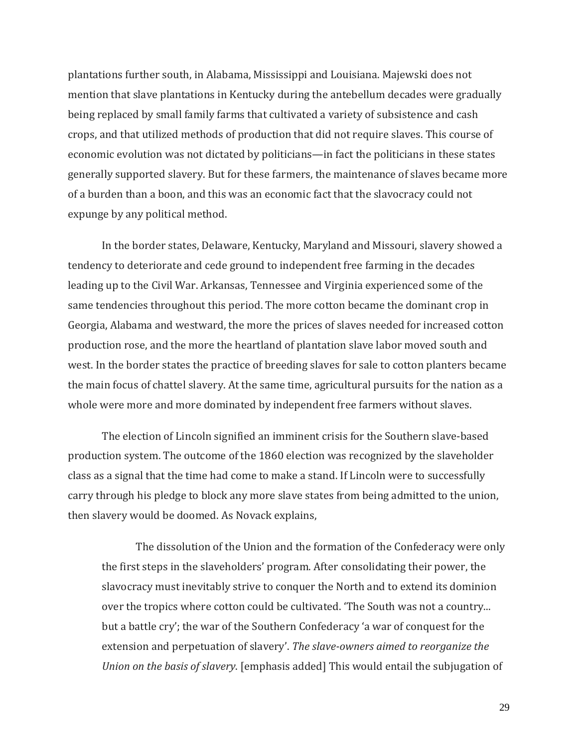plantations further south, in Alabama, Mississippi and Louisiana. Majewski does not mention that slave plantations in Kentucky during the antebellum decades were gradually being replaced by small family farms that cultivated a variety of subsistence and cash crops, and that utilized methods of production that did not require slaves. This course of economic evolution was not dictated by politicians—in fact the politicians in these states generally supported slavery. But for these farmers, the maintenance of slaves became more of a burden than a boon, and this was an economic fact that the slavocracy could not expunge by any political method.

In the border states, Delaware, Kentucky, Maryland and Missouri, slavery showed a tendency to deteriorate and cede ground to independent free farming in the decades leading up to the Civil War. Arkansas, Tennessee and Virginia experienced some of the same tendencies throughout this period. The more cotton became the dominant crop in Georgia, Alabama and westward, the more the prices of slaves needed for increased cotton production rose, and the more the heartland of plantation slave labor moved south and west. In the border states the practice of breeding slaves for sale to cotton planters became the main focus of chattel slavery. At the same time, agricultural pursuits for the nation as a whole were more and more dominated by independent free farmers without slaves.

The election of Lincoln signified an imminent crisis for the Southern slave-based production system. The outcome of the 1860 election was recognized by the slaveholder class as a signal that the time had come to make a stand. If Lincoln were to successfully carry through his pledge to block any more slave states from being admitted to the union, then slavery would be doomed. As Novack explains,

The dissolution of the Union and the formation of the Confederacy were only the first steps in the slaveholders' program. After consolidating their power, the slavocracy must inevitably strive to conquer the North and to extend its dominion over the tropics where cotton could be cultivated. 'The South was not a country... but a battle cry'; the war of the Southern Confederacy 'a war of conquest for the extension and perpetuation of slavery'. *The slave-owners aimed to reorganize the Union on the basis of slavery*. [emphasis added] This would entail the subjugation of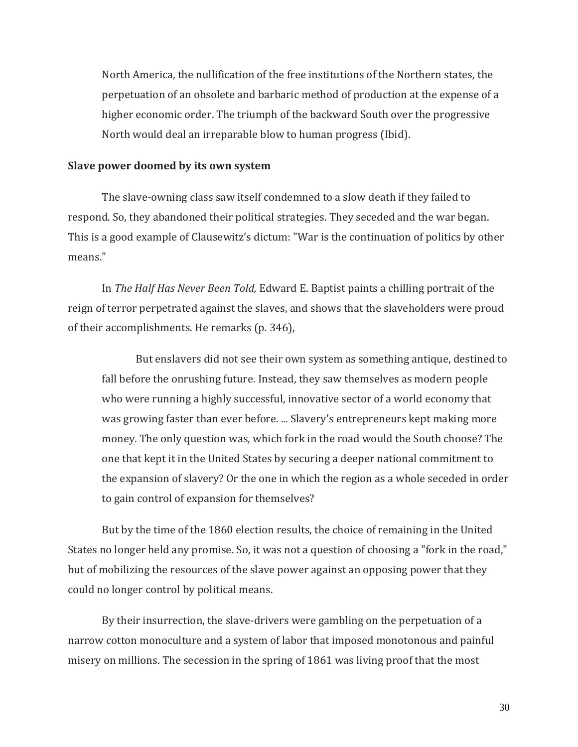North America, the nullification of the free institutions of the Northern states, the perpetuation of an obsolete and barbaric method of production at the expense of a higher economic order. The triumph of the backward South over the progressive North would deal an irreparable blow to human progress (Ibid).

### **Slave power doomed by its own system**

The slave-owning class saw itself condemned to a slow death if they failed to respond. So, they abandoned their political strategies. They seceded and the war began. This is a good example of Clausewitz's dictum: "War is the continuation of politics by other means."

In *The Half Has Never Been Told,* Edward E. Baptist paints a chilling portrait of the reign of terror perpetrated against the slaves, and shows that the slaveholders were proud of their accomplishments. He remarks (p. 346),

But enslavers did not see their own system as something antique, destined to fall before the onrushing future. Instead, they saw themselves as modern people who were running a highly successful, innovative sector of a world economy that was growing faster than ever before. ... Slavery's entrepreneurs kept making more money. The only question was, which fork in the road would the South choose? The one that kept it in the United States by securing a deeper national commitment to the expansion of slavery? Or the one in which the region as a whole seceded in order to gain control of expansion for themselves?

But by the time of the 1860 election results, the choice of remaining in the United States no longer held any promise. So, it was not a question of choosing a "fork in the road," but of mobilizing the resources of the slave power against an opposing power that they could no longer control by political means.

By their insurrection, the slave-drivers were gambling on the perpetuation of a narrow cotton monoculture and a system of labor that imposed monotonous and painful misery on millions. The secession in the spring of 1861 was living proof that the most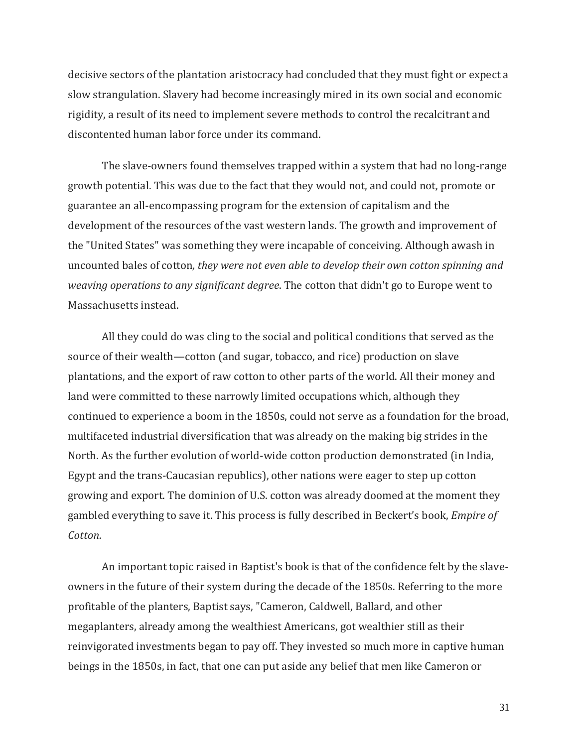decisive sectors of the plantation aristocracy had concluded that they must fight or expect a slow strangulation. Slavery had become increasingly mired in its own social and economic rigidity, a result of its need to implement severe methods to control the recalcitrant and discontented human labor force under its command.

The slave-owners found themselves trapped within a system that had no long-range growth potential. This was due to the fact that they would not, and could not, promote or guarantee an all-encompassing program for the extension of capitalism and the development of the resources of the vast western lands. The growth and improvement of the "United States" was something they were incapable of conceiving. Although awash in uncounted bales of cotton*, they were not even able to develop their own cotton spinning and weaving operations to any significant degree*. The cotton that didn't go to Europe went to Massachusetts instead.

All they could do was cling to the social and political conditions that served as the source of their wealth—cotton (and sugar, tobacco, and rice) production on slave plantations, and the export of raw cotton to other parts of the world. All their money and land were committed to these narrowly limited occupations which, although they continued to experience a boom in the 1850s, could not serve as a foundation for the broad, multifaceted industrial diversification that was already on the making big strides in the North. As the further evolution of world-wide cotton production demonstrated (in India, Egypt and the trans-Caucasian republics), other nations were eager to step up cotton growing and export. The dominion of U.S. cotton was already doomed at the moment they gambled everything to save it. This process is fully described in Beckert's book, *Empire of Cotton.*

An important topic raised in Baptist's book is that of the confidence felt by the slaveowners in the future of their system during the decade of the 1850s. Referring to the more profitable of the planters, Baptist says, "Cameron, Caldwell, Ballard, and other megaplanters, already among the wealthiest Americans, got wealthier still as their reinvigorated investments began to pay off. They invested so much more in captive human beings in the 1850s, in fact, that one can put aside any belief that men like Cameron or

31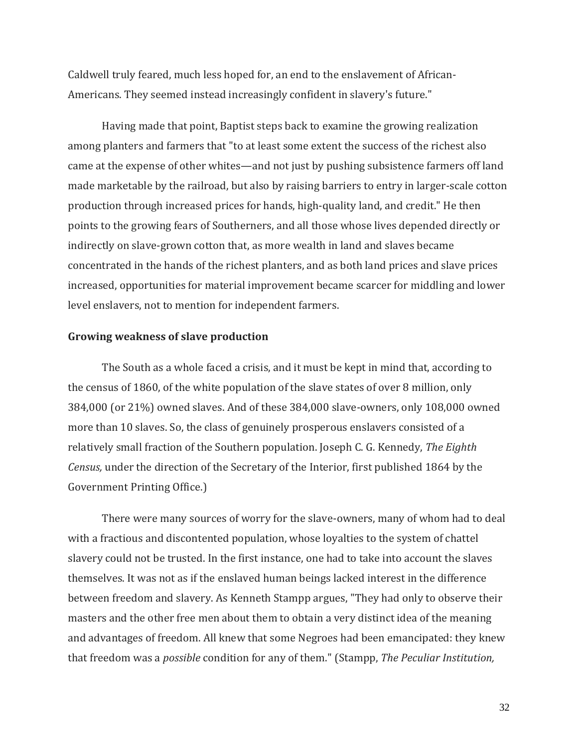Caldwell truly feared, much less hoped for, an end to the enslavement of African-Americans. They seemed instead increasingly confident in slavery's future."

Having made that point, Baptist steps back to examine the growing realization among planters and farmers that "to at least some extent the success of the richest also came at the expense of other whites—and not just by pushing subsistence farmers off land made marketable by the railroad, but also by raising barriers to entry in larger-scale cotton production through increased prices for hands, high-quality land, and credit." He then points to the growing fears of Southerners, and all those whose lives depended directly or indirectly on slave-grown cotton that, as more wealth in land and slaves became concentrated in the hands of the richest planters, and as both land prices and slave prices increased, opportunities for material improvement became scarcer for middling and lower level enslavers, not to mention for independent farmers.

#### **Growing weakness of slave production**

The South as a whole faced a crisis, and it must be kept in mind that, according to the census of 1860, of the white population of the slave states of over 8 million, only 384,000 (or 21%) owned slaves. And of these 384,000 slave-owners, only 108,000 owned more than 10 slaves. So, the class of genuinely prosperous enslavers consisted of a relatively small fraction of the Southern population. Joseph C. G. Kennedy, *The Eighth Census,* under the direction of the Secretary of the Interior, first published 1864 by the Government Printing Office.)

There were many sources of worry for the slave-owners, many of whom had to deal with a fractious and discontented population, whose loyalties to the system of chattel slavery could not be trusted. In the first instance, one had to take into account the slaves themselves. It was not as if the enslaved human beings lacked interest in the difference between freedom and slavery. As Kenneth Stampp argues, "They had only to observe their masters and the other free men about them to obtain a very distinct idea of the meaning and advantages of freedom. All knew that some Negroes had been emancipated: they knew that freedom was a *possible* condition for any of them." (Stampp, *The Peculiar Institution,*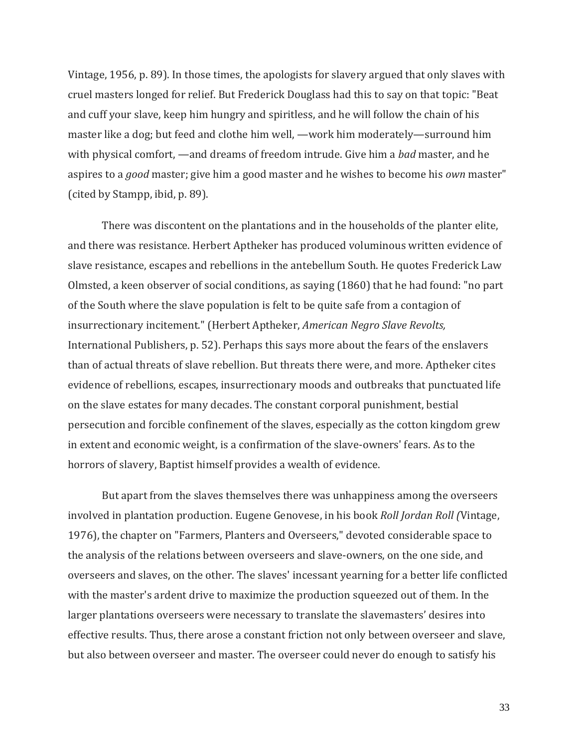Vintage, 1956, p. 89). In those times, the apologists for slavery argued that only slaves with cruel masters longed for relief. But Frederick Douglass had this to say on that topic: "Beat and cuff your slave, keep him hungry and spiritless, and he will follow the chain of his master like a dog; but feed and clothe him well, —work him moderately—surround him with physical comfort, —and dreams of freedom intrude. Give him a *bad* master, and he aspires to a *good* master; give him a good master and he wishes to become his *own* master" (cited by Stampp, ibid, p. 89).

There was discontent on the plantations and in the households of the planter elite, and there was resistance. Herbert Aptheker has produced voluminous written evidence of slave resistance, escapes and rebellions in the antebellum South. He quotes Frederick Law Olmsted, a keen observer of social conditions, as saying (1860) that he had found: "no part of the South where the slave population is felt to be quite safe from a contagion of insurrectionary incitement." (Herbert Aptheker, *American Negro Slave Revolts,*  International Publishers, p. 52). Perhaps this says more about the fears of the enslavers than of actual threats of slave rebellion. But threats there were, and more. Aptheker cites evidence of rebellions, escapes, insurrectionary moods and outbreaks that punctuated life on the slave estates for many decades. The constant corporal punishment, bestial persecution and forcible confinement of the slaves, especially as the cotton kingdom grew in extent and economic weight, is a confirmation of the slave-owners' fears. As to the horrors of slavery, Baptist himself provides a wealth of evidence.

But apart from the slaves themselves there was unhappiness among the overseers involved in plantation production. Eugene Genovese, in his book *Roll Jordan Roll (*Vintage, 1976), the chapter on "Farmers, Planters and Overseers," devoted considerable space to the analysis of the relations between overseers and slave-owners, on the one side, and overseers and slaves, on the other. The slaves' incessant yearning for a better life conflicted with the master's ardent drive to maximize the production squeezed out of them. In the larger plantations overseers were necessary to translate the slavemasters' desires into effective results. Thus, there arose a constant friction not only between overseer and slave, but also between overseer and master. The overseer could never do enough to satisfy his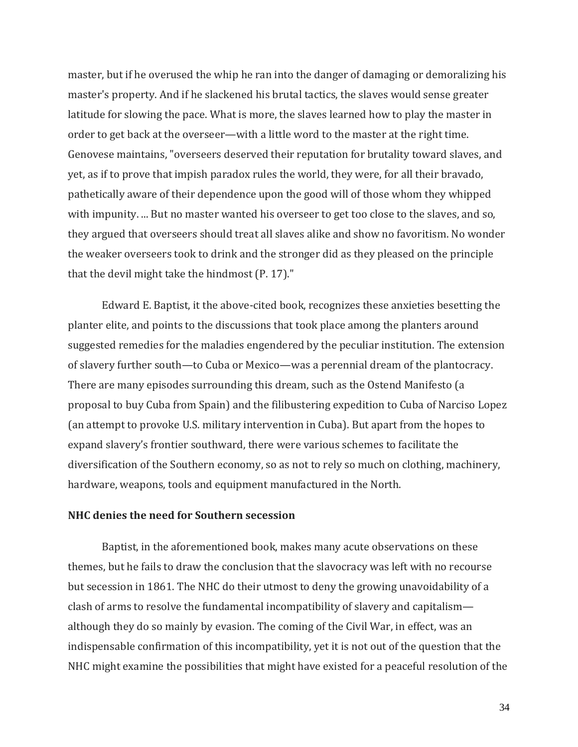master, but if he overused the whip he ran into the danger of damaging or demoralizing his master's property. And if he slackened his brutal tactics, the slaves would sense greater latitude for slowing the pace. What is more, the slaves learned how to play the master in order to get back at the overseer—with a little word to the master at the right time. Genovese maintains, "overseers deserved their reputation for brutality toward slaves, and yet, as if to prove that impish paradox rules the world, they were, for all their bravado, pathetically aware of their dependence upon the good will of those whom they whipped with impunity. ... But no master wanted his overseer to get too close to the slaves, and so, they argued that overseers should treat all slaves alike and show no favoritism. No wonder the weaker overseers took to drink and the stronger did as they pleased on the principle that the devil might take the hindmost (P. 17)."

Edward E. Baptist, it the above-cited book, recognizes these anxieties besetting the planter elite, and points to the discussions that took place among the planters around suggested remedies for the maladies engendered by the peculiar institution. The extension of slavery further south—to Cuba or Mexico—was a perennial dream of the plantocracy. There are many episodes surrounding this dream, such as the Ostend Manifesto (a proposal to buy Cuba from Spain) and the filibustering expedition to Cuba of Narciso Lopez (an attempt to provoke U.S. military intervention in Cuba). But apart from the hopes to expand slavery's frontier southward, there were various schemes to facilitate the diversification of the Southern economy, so as not to rely so much on clothing, machinery, hardware, weapons, tools and equipment manufactured in the North.

## **NHC denies the need for Southern secession**

Baptist, in the aforementioned book, makes many acute observations on these themes, but he fails to draw the conclusion that the slavocracy was left with no recourse but secession in 1861. The NHC do their utmost to deny the growing unavoidability of a clash of arms to resolve the fundamental incompatibility of slavery and capitalism although they do so mainly by evasion. The coming of the Civil War, in effect, was an indispensable confirmation of this incompatibility, yet it is not out of the question that the NHC might examine the possibilities that might have existed for a peaceful resolution of the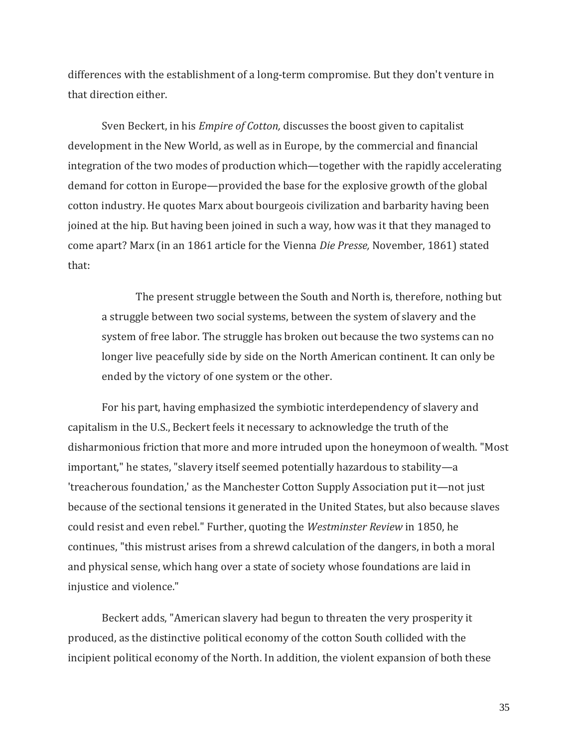differences with the establishment of a long-term compromise. But they don't venture in that direction either.

Sven Beckert, in his *Empire of Cotton,* discusses the boost given to capitalist development in the New World, as well as in Europe, by the commercial and financial integration of the two modes of production which—together with the rapidly accelerating demand for cotton in Europe—provided the base for the explosive growth of the global cotton industry. He quotes Marx about bourgeois civilization and barbarity having been joined at the hip. But having been joined in such a way, how was it that they managed to come apart? Marx (in an 1861 article for the Vienna *Die Presse,* November, 1861) stated that:

The present struggle between the South and North is, therefore, nothing but a struggle between two social systems, between the system of slavery and the system of free labor. The struggle has broken out because the two systems can no longer live peacefully side by side on the North American continent. It can only be ended by the victory of one system or the other.

For his part, having emphasized the symbiotic interdependency of slavery and capitalism in the U.S., Beckert feels it necessary to acknowledge the truth of the disharmonious friction that more and more intruded upon the honeymoon of wealth. "Most important," he states, "slavery itself seemed potentially hazardous to stability—a 'treacherous foundation,' as the Manchester Cotton Supply Association put it—not just because of the sectional tensions it generated in the United States, but also because slaves could resist and even rebel." Further, quoting the *Westminster Review* in 1850, he continues, "this mistrust arises from a shrewd calculation of the dangers, in both a moral and physical sense, which hang over a state of society whose foundations are laid in injustice and violence."

Beckert adds, "American slavery had begun to threaten the very prosperity it produced, as the distinctive political economy of the cotton South collided with the incipient political economy of the North. In addition, the violent expansion of both these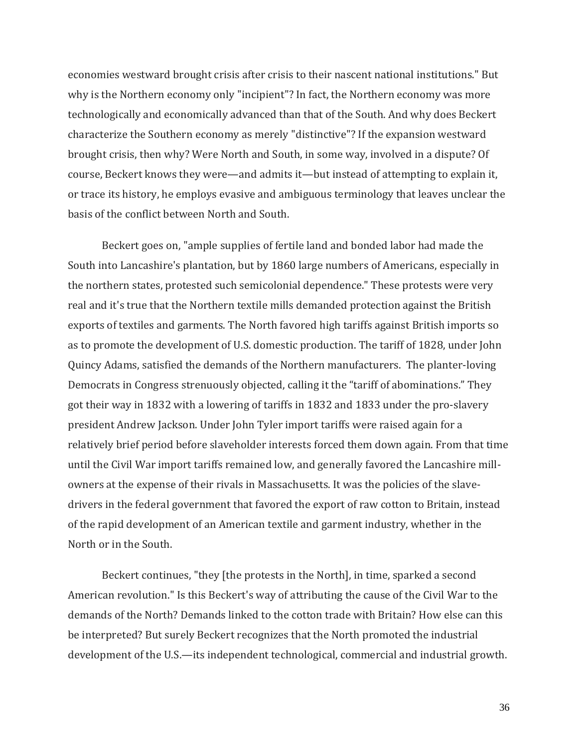economies westward brought crisis after crisis to their nascent national institutions." But why is the Northern economy only "incipient"? In fact, the Northern economy was more technologically and economically advanced than that of the South. And why does Beckert characterize the Southern economy as merely "distinctive"? If the expansion westward brought crisis, then why? Were North and South, in some way, involved in a dispute? Of course, Beckert knows they were—and admits it—but instead of attempting to explain it, or trace its history, he employs evasive and ambiguous terminology that leaves unclear the basis of the conflict between North and South.

Beckert goes on, "ample supplies of fertile land and bonded labor had made the South into Lancashire's plantation, but by 1860 large numbers of Americans, especially in the northern states, protested such semicolonial dependence." These protests were very real and it's true that the Northern textile mills demanded protection against the British exports of textiles and garments. The North favored high tariffs against British imports so as to promote the development of U.S. domestic production. The tariff of 1828, under John Quincy Adams, satisfied the demands of the Northern manufacturers. The planter-loving Democrats in Congress strenuously objected, calling it the "tariff of abominations." They got their way in 1832 with a lowering of tariffs in 1832 and 1833 under the pro-slavery president Andrew Jackson. Under John Tyler import tariffs were raised again for a relatively brief period before slaveholder interests forced them down again. From that time until the Civil War import tariffs remained low, and generally favored the Lancashire millowners at the expense of their rivals in Massachusetts. It was the policies of the slavedrivers in the federal government that favored the export of raw cotton to Britain, instead of the rapid development of an American textile and garment industry, whether in the North or in the South.

Beckert continues, "they [the protests in the North], in time, sparked a second American revolution." Is this Beckert's way of attributing the cause of the Civil War to the demands of the North? Demands linked to the cotton trade with Britain? How else can this be interpreted? But surely Beckert recognizes that the North promoted the industrial development of the U.S.—its independent technological, commercial and industrial growth.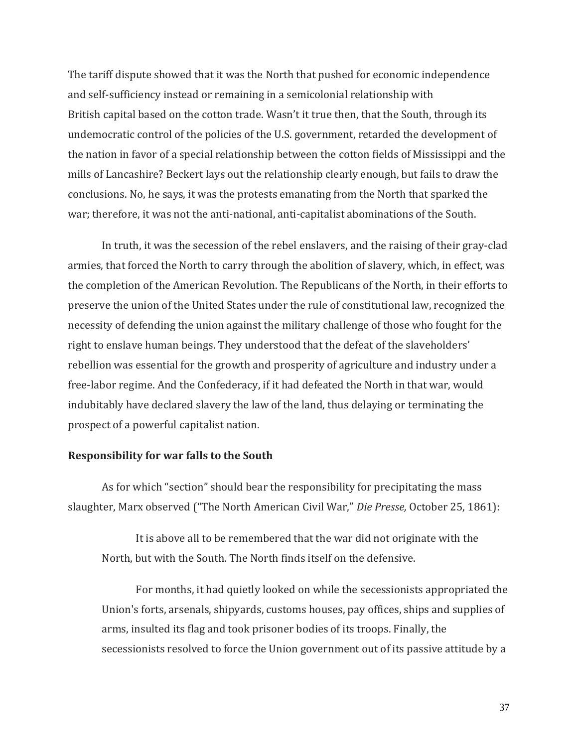The tariff dispute showed that it was the North that pushed for economic independence and self-sufficiency instead or remaining in a semicolonial relationship with British capital based on the cotton trade. Wasn't it true then, that the South, through its undemocratic control of the policies of the U.S. government, retarded the development of the nation in favor of a special relationship between the cotton fields of Mississippi and the mills of Lancashire? Beckert lays out the relationship clearly enough, but fails to draw the conclusions. No, he says, it was the protests emanating from the North that sparked the war; therefore, it was not the anti-national, anti-capitalist abominations of the South.

In truth, it was the secession of the rebel enslavers, and the raising of their gray-clad armies, that forced the North to carry through the abolition of slavery, which, in effect, was the completion of the American Revolution. The Republicans of the North, in their efforts to preserve the union of the United States under the rule of constitutional law, recognized the necessity of defending the union against the military challenge of those who fought for the right to enslave human beings. They understood that the defeat of the slaveholders' rebellion was essential for the growth and prosperity of agriculture and industry under a free-labor regime. And the Confederacy, if it had defeated the North in that war, would indubitably have declared slavery the law of the land, thus delaying or terminating the prospect of a powerful capitalist nation.

## **Responsibility for war falls to the South**

As for which "section" should bear the responsibility for precipitating the mass slaughter, Marx observed ("The North American Civil War," *Die Presse,* October 25, 1861):

It is above all to be remembered that the war did not originate with the North, but with the South. The North finds itself on the defensive.

For months, it had quietly looked on while the secessionists appropriated the Union's forts, arsenals, shipyards, customs houses, pay offices, ships and supplies of arms, insulted its flag and took prisoner bodies of its troops. Finally, the secessionists resolved to force the Union government out of its passive attitude by a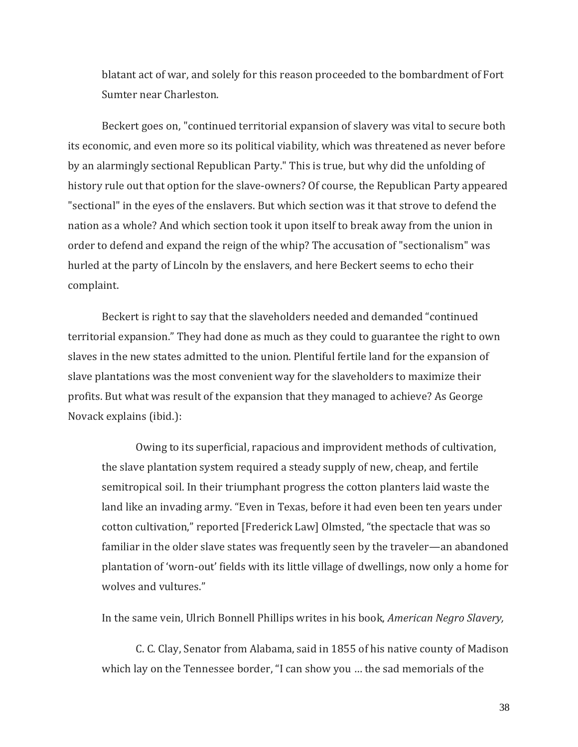blatant act of war, and solely for this reason proceeded to the bombardment of Fort Sumter near Charleston.

Beckert goes on, "continued territorial expansion of slavery was vital to secure both its economic, and even more so its political viability, which was threatened as never before by an alarmingly sectional Republican Party." This is true, but why did the unfolding of history rule out that option for the slave-owners? Of course, the Republican Party appeared "sectional" in the eyes of the enslavers. But which section was it that strove to defend the nation as a whole? And which section took it upon itself to break away from the union in order to defend and expand the reign of the whip? The accusation of "sectionalism" was hurled at the party of Lincoln by the enslavers, and here Beckert seems to echo their complaint.

Beckert is right to say that the slaveholders needed and demanded "continued territorial expansion." They had done as much as they could to guarantee the right to own slaves in the new states admitted to the union. Plentiful fertile land for the expansion of slave plantations was the most convenient way for the slaveholders to maximize their profits. But what was result of the expansion that they managed to achieve? As George Novack explains (ibid.):

Owing to its superficial, rapacious and improvident methods of cultivation, the slave plantation system required a steady supply of new, cheap, and fertile semitropical soil. In their triumphant progress the cotton planters laid waste the land like an invading army. "Even in Texas, before it had even been ten years under cotton cultivation," reported [Frederick Law] Olmsted, "the spectacle that was so familiar in the older slave states was frequently seen by the traveler—an abandoned plantation of 'worn-out' fields with its little village of dwellings, now only a home for wolves and vultures."

In the same vein, Ulrich Bonnell Phillips writes in his book, *American Negro Slavery,* 

C. C. Clay, Senator from Alabama, said in 1855 of his native county of Madison which lay on the Tennessee border, "I can show you … the sad memorials of the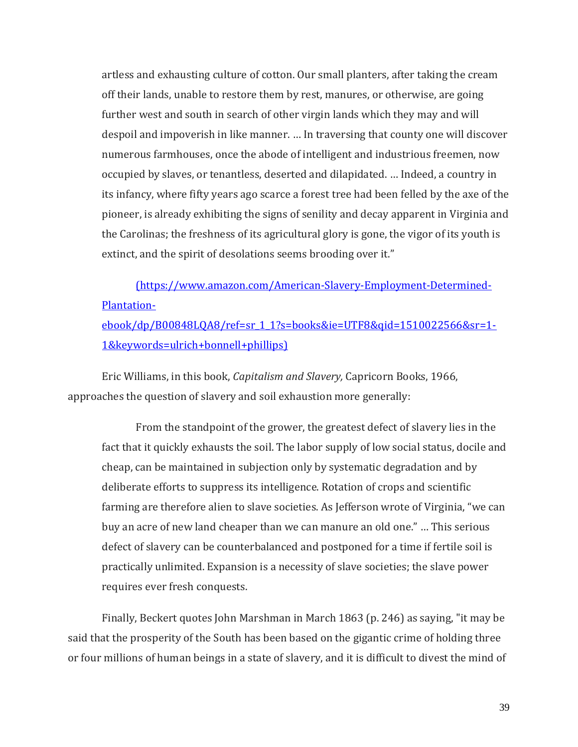artless and exhausting culture of cotton. Our small planters, after taking the cream off their lands, unable to restore them by rest, manures, or otherwise, are going further west and south in search of other virgin lands which they may and will despoil and impoverish in like manner. … In traversing that county one will discover numerous farmhouses, once the abode of intelligent and industrious freemen, now occupied by slaves, or tenantless, deserted and dilapidated. … Indeed, a country in its infancy, where fifty years ago scarce a forest tree had been felled by the axe of the pioneer, is already exhibiting the signs of senility and decay apparent in Virginia and the Carolinas; the freshness of its agricultural glory is gone, the vigor of its youth is extinct, and the spirit of desolations seems brooding over it."

[\(https://www.amazon.com/American-Slavery-Employment-Determined-](file:///C:/Users/James/Documents/Marxism/Essays_JM/ref=sr_1_1%3fs=books&ie=UTF8&qid=1510022566&sr=1-1&keywords=ulrich+bonnell+phillips))[Plantation-](file:///C:/Users/James/Documents/Marxism/Essays_JM/ref=sr_1_1%3fs=books&ie=UTF8&qid=1510022566&sr=1-1&keywords=ulrich+bonnell+phillips))

[ebook/dp/B00848LQA8/ref=sr\\_1\\_1?s=books&ie=UTF8&qid=1510022566&sr=1-](file:///C:/Users/James/Documents/Marxism/Essays_JM/ref=sr_1_1%3fs=books&ie=UTF8&qid=1510022566&sr=1-1&keywords=ulrich+bonnell+phillips)) [1&keywords=ulrich+bonnell+phillips\)](file:///C:/Users/James/Documents/Marxism/Essays_JM/ref=sr_1_1%3fs=books&ie=UTF8&qid=1510022566&sr=1-1&keywords=ulrich+bonnell+phillips))

Eric Williams, in this book, *Capitalism and Slavery,* Capricorn Books, 1966, approaches the question of slavery and soil exhaustion more generally:

From the standpoint of the grower, the greatest defect of slavery lies in the fact that it quickly exhausts the soil. The labor supply of low social status, docile and cheap, can be maintained in subjection only by systematic degradation and by deliberate efforts to suppress its intelligence. Rotation of crops and scientific farming are therefore alien to slave societies. As Jefferson wrote of Virginia, "we can buy an acre of new land cheaper than we can manure an old one." … This serious defect of slavery can be counterbalanced and postponed for a time if fertile soil is practically unlimited. Expansion is a necessity of slave societies; the slave power requires ever fresh conquests.

Finally, Beckert quotes John Marshman in March 1863 (p. 246) as saying, "it may be said that the prosperity of the South has been based on the gigantic crime of holding three or four millions of human beings in a state of slavery, and it is difficult to divest the mind of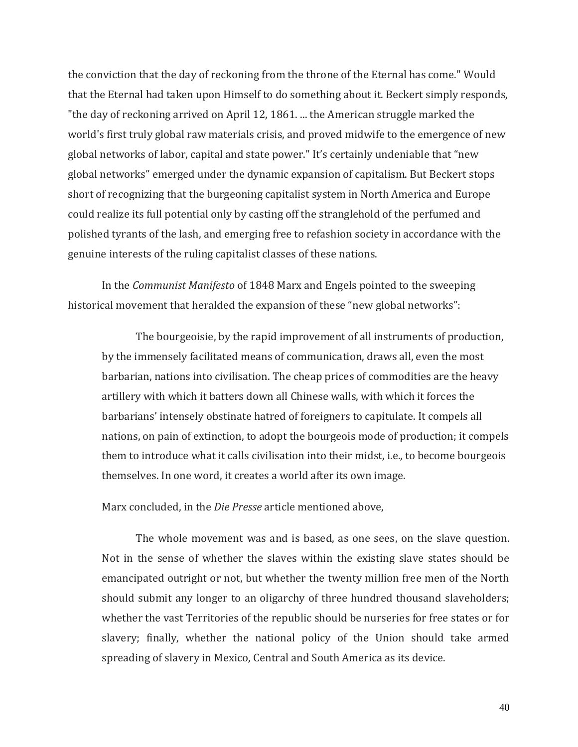the conviction that the day of reckoning from the throne of the Eternal has come." Would that the Eternal had taken upon Himself to do something about it. Beckert simply responds, "the day of reckoning arrived on April 12, 1861. ... the American struggle marked the world's first truly global raw materials crisis, and proved midwife to the emergence of new global networks of labor, capital and state power." It's certainly undeniable that "new global networks" emerged under the dynamic expansion of capitalism. But Beckert stops short of recognizing that the burgeoning capitalist system in North America and Europe could realize its full potential only by casting off the stranglehold of the perfumed and polished tyrants of the lash, and emerging free to refashion society in accordance with the genuine interests of the ruling capitalist classes of these nations.

In the *Communist Manifesto* of 1848 Marx and Engels pointed to the sweeping historical movement that heralded the expansion of these "new global networks":

The bourgeoisie, by the rapid improvement of all instruments of production, by the immensely facilitated means of communication, draws all, even the most barbarian, nations into civilisation. The cheap prices of commodities are the heavy artillery with which it batters down all Chinese walls, with which it forces the barbarians' intensely obstinate hatred of foreigners to capitulate. It compels all nations, on pain of extinction, to adopt the bourgeois mode of production; it compels them to introduce what it calls civilisation into their midst, i.e., to become bourgeois themselves. In one word, it creates a world after its own image.

Marx concluded, in the *Die Presse* article mentioned above,

The whole movement was and is based, as one sees, on the slave question. Not in the sense of whether the slaves within the existing slave states should be emancipated outright or not, but whether the twenty million free men of the North should submit any longer to an oligarchy of three hundred thousand slaveholders; whether the vast Territories of the republic should be nurseries for free states or for slavery; finally, whether the national policy of the Union should take armed spreading of slavery in Mexico, Central and South America as its device.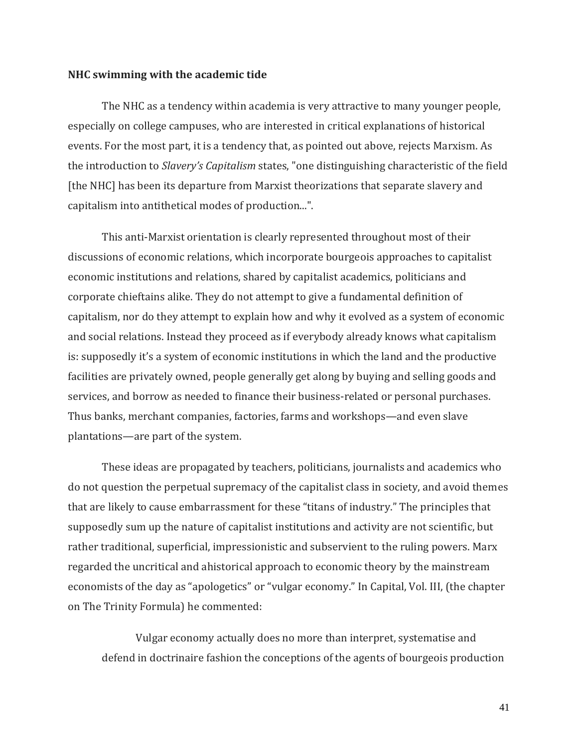#### **NHC swimming with the academic tide**

The NHC as a tendency within academia is very attractive to many younger people, especially on college campuses, who are interested in critical explanations of historical events. For the most part, it is a tendency that, as pointed out above, rejects Marxism. As the introduction to *Slavery's Capitalism* states, "one distinguishing characteristic of the field [the NHC] has been its departure from Marxist theorizations that separate slavery and capitalism into antithetical modes of production...".

This anti-Marxist orientation is clearly represented throughout most of their discussions of economic relations, which incorporate bourgeois approaches to capitalist economic institutions and relations, shared by capitalist academics, politicians and corporate chieftains alike. They do not attempt to give a fundamental definition of capitalism, nor do they attempt to explain how and why it evolved as a system of economic and social relations. Instead they proceed as if everybody already knows what capitalism is: supposedly it's a system of economic institutions in which the land and the productive facilities are privately owned, people generally get along by buying and selling goods and services, and borrow as needed to finance their business-related or personal purchases. Thus banks, merchant companies, factories, farms and workshops—and even slave plantations—are part of the system.

These ideas are propagated by teachers, politicians, journalists and academics who do not question the perpetual supremacy of the capitalist class in society, and avoid themes that are likely to cause embarrassment for these "titans of industry." The principles that supposedly sum up the nature of capitalist institutions and activity are not scientific, but rather traditional, superficial, impressionistic and subservient to the ruling powers. Marx regarded the uncritical and ahistorical approach to economic theory by the mainstream economists of the day as "apologetics" or "vulgar economy." In Capital, Vol. III, (the chapter on The Trinity Formula) he commented:

Vulgar economy actually does no more than interpret, systematise and defend in doctrinaire fashion the conceptions of the agents of bourgeois production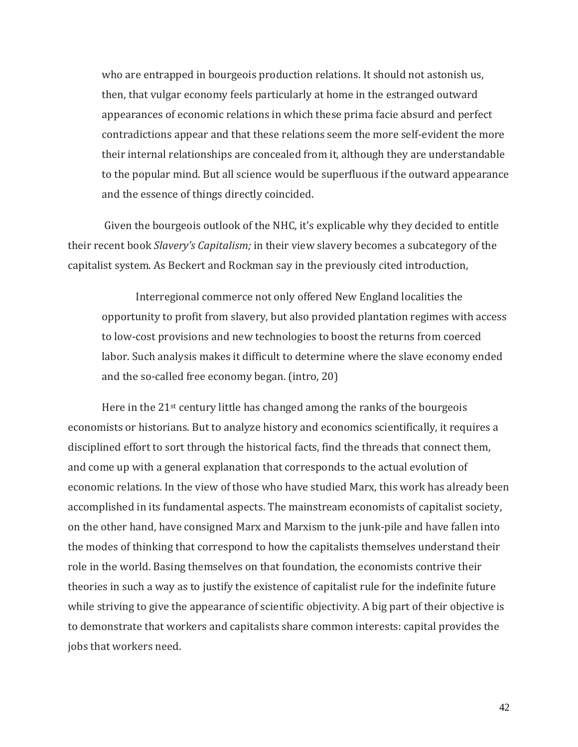who are entrapped in bourgeois production relations. It should not astonish us, then, that vulgar economy feels particularly at home in the estranged outward appearances of economic relations in which these prima facie absurd and perfect contradictions appear and that these relations seem the more self-evident the more their internal relationships are concealed from it, although they are understandable to the popular mind. But all science would be superfluous if the outward appearance and the essence of things directly coincided.

Given the bourgeois outlook of the NHC, it's explicable why they decided to entitle their recent book *Slavery's Capitalism;* in their view slavery becomes a subcategory of the capitalist system. As Beckert and Rockman say in the previously cited introduction,

Interregional commerce not only offered New England localities the opportunity to profit from slavery, but also provided plantation regimes with access to low-cost provisions and new technologies to boost the returns from coerced labor. Such analysis makes it difficult to determine where the slave economy ended and the so-called free economy began. (intro, 20)

Here in the 21<sup>st</sup> century little has changed among the ranks of the bourgeois economists or historians. But to analyze history and economics scientifically, it requires a disciplined effort to sort through the historical facts, find the threads that connect them, and come up with a general explanation that corresponds to the actual evolution of economic relations. In the view of those who have studied Marx, this work has already been accomplished in its fundamental aspects. The mainstream economists of capitalist society, on the other hand, have consigned Marx and Marxism to the junk-pile and have fallen into the modes of thinking that correspond to how the capitalists themselves understand their role in the world. Basing themselves on that foundation, the economists contrive their theories in such a way as to justify the existence of capitalist rule for the indefinite future while striving to give the appearance of scientific objectivity. A big part of their objective is to demonstrate that workers and capitalists share common interests: capital provides the jobs that workers need.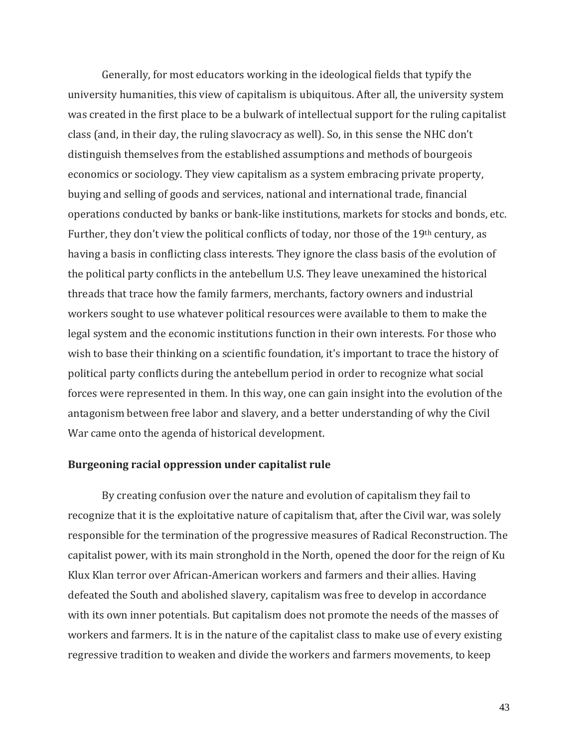Generally, for most educators working in the ideological fields that typify the university humanities, this view of capitalism is ubiquitous. After all, the university system was created in the first place to be a bulwark of intellectual support for the ruling capitalist class (and, in their day, the ruling slavocracy as well). So, in this sense the NHC don't distinguish themselves from the established assumptions and methods of bourgeois economics or sociology. They view capitalism as a system embracing private property, buying and selling of goods and services, national and international trade, financial operations conducted by banks or bank-like institutions, markets for stocks and bonds, etc. Further, they don't view the political conflicts of today, nor those of the 19th century, as having a basis in conflicting class interests. They ignore the class basis of the evolution of the political party conflicts in the antebellum U.S. They leave unexamined the historical threads that trace how the family farmers, merchants, factory owners and industrial workers sought to use whatever political resources were available to them to make the legal system and the economic institutions function in their own interests. For those who wish to base their thinking on a scientific foundation, it's important to trace the history of political party conflicts during the antebellum period in order to recognize what social forces were represented in them. In this way, one can gain insight into the evolution of the antagonism between free labor and slavery, and a better understanding of why the Civil War came onto the agenda of historical development.

## **Burgeoning racial oppression under capitalist rule**

By creating confusion over the nature and evolution of capitalism they fail to recognize that it is the exploitative nature of capitalism that, after the Civil war, was solely responsible for the termination of the progressive measures of Radical Reconstruction. The capitalist power, with its main stronghold in the North, opened the door for the reign of Ku Klux Klan terror over African-American workers and farmers and their allies. Having defeated the South and abolished slavery, capitalism was free to develop in accordance with its own inner potentials. But capitalism does not promote the needs of the masses of workers and farmers. It is in the nature of the capitalist class to make use of every existing regressive tradition to weaken and divide the workers and farmers movements, to keep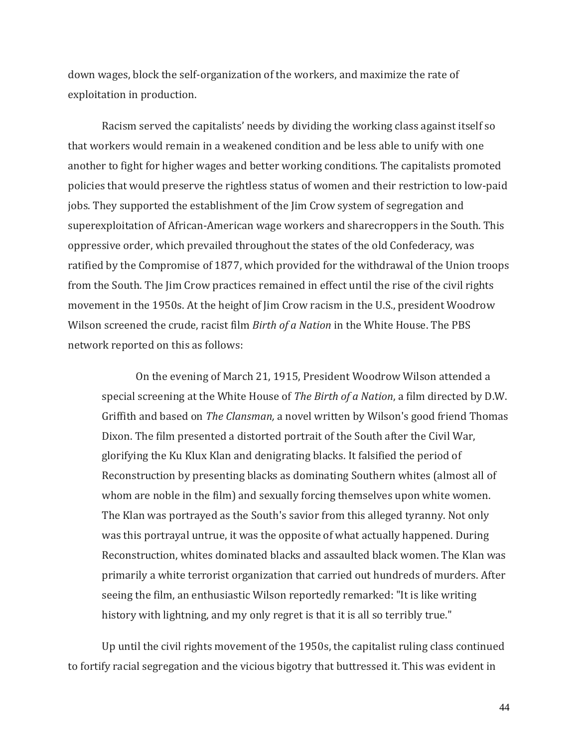down wages, block the self-organization of the workers, and maximize the rate of exploitation in production.

Racism served the capitalists' needs by dividing the working class against itself so that workers would remain in a weakened condition and be less able to unify with one another to fight for higher wages and better working conditions. The capitalists promoted policies that would preserve the rightless status of women and their restriction to low-paid jobs. They supported the establishment of the Jim Crow system of segregation and superexploitation of African-American wage workers and sharecroppers in the South. This oppressive order, which prevailed throughout the states of the old Confederacy, was ratified by the Compromise of 1877, which provided for the withdrawal of the Union troops from the South. The Jim Crow practices remained in effect until the rise of the civil rights movement in the 1950s. At the height of Jim Crow racism in the U.S., president Woodrow Wilson screened the crude, racist film *Birth of a Nation* in the White House. The PBS network reported on this as follows:

On the evening of March 21, 1915, President Woodrow Wilson attended a special screening at the White House of *The Birth of a Nation*, a film directed by D.W. Griffith and based on *The Clansman,* a novel written by Wilson's good friend Thomas Dixon. The film presented a distorted portrait of the South after the Civil War, glorifying the Ku Klux Klan and denigrating blacks. It falsified the period of Reconstruction by presenting blacks as dominating Southern whites (almost all of whom are noble in the film) and sexually forcing themselves upon white women. The Klan was portrayed as the South's savior from this alleged tyranny. Not only was this portrayal untrue, it was the opposite of what actually happened. During Reconstruction, whites dominated blacks and assaulted black women. The Klan was primarily a white terrorist organization that carried out hundreds of murders. After seeing the film, an enthusiastic Wilson reportedly remarked: "It is like writing history with lightning, and my only regret is that it is all so terribly true."

Up until the civil rights movement of the 1950s, the capitalist ruling class continued to fortify racial segregation and the vicious bigotry that buttressed it. This was evident in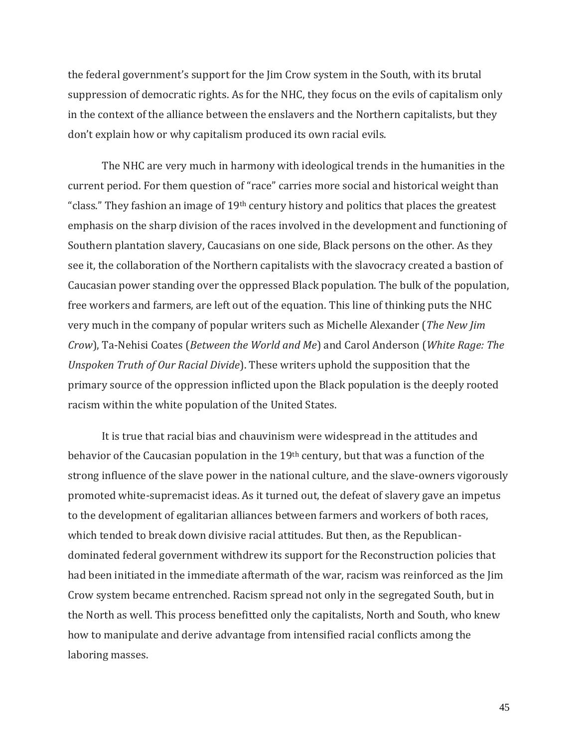the federal government's support for the Jim Crow system in the South, with its brutal suppression of democratic rights. As for the NHC, they focus on the evils of capitalism only in the context of the alliance between the enslavers and the Northern capitalists, but they don't explain how or why capitalism produced its own racial evils.

The NHC are very much in harmony with ideological trends in the humanities in the current period. For them question of "race" carries more social and historical weight than "class." They fashion an image of  $19<sup>th</sup>$  century history and politics that places the greatest emphasis on the sharp division of the races involved in the development and functioning of Southern plantation slavery, Caucasians on one side, Black persons on the other. As they see it, the collaboration of the Northern capitalists with the slavocracy created a bastion of Caucasian power standing over the oppressed Black population. The bulk of the population, free workers and farmers, are left out of the equation. This line of thinking puts the NHC very much in the company of popular writers such as Michelle Alexander (*The New Jim Crow*), Ta-Nehisi Coates (*Between the World and Me*) and Carol Anderson (*White Rage: The Unspoken Truth of Our Racial Divide*). These writers uphold the supposition that the primary source of the oppression inflicted upon the Black population is the deeply rooted racism within the white population of the United States.

It is true that racial bias and chauvinism were widespread in the attitudes and behavior of the Caucasian population in the 19<sup>th</sup> century, but that was a function of the strong influence of the slave power in the national culture, and the slave-owners vigorously promoted white-supremacist ideas. As it turned out, the defeat of slavery gave an impetus to the development of egalitarian alliances between farmers and workers of both races, which tended to break down divisive racial attitudes. But then, as the Republicandominated federal government withdrew its support for the Reconstruction policies that had been initiated in the immediate aftermath of the war, racism was reinforced as the Jim Crow system became entrenched. Racism spread not only in the segregated South, but in the North as well. This process benefitted only the capitalists, North and South, who knew how to manipulate and derive advantage from intensified racial conflicts among the laboring masses.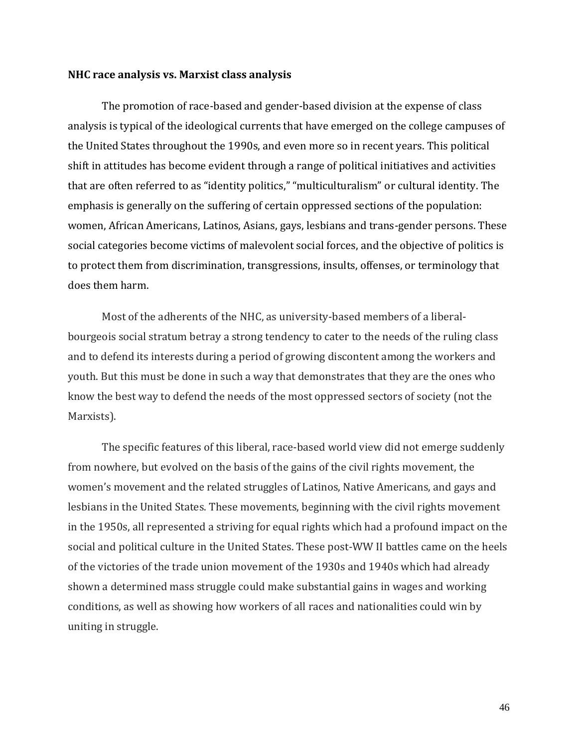#### **NHC race analysis vs. Marxist class analysis**

The promotion of race-based and gender-based division at the expense of class analysis is typical of the ideological currents that have emerged on the college campuses of the United States throughout the 1990s, and even more so in recent years. This political shift in attitudes has become evident through a range of political initiatives and activities that are often referred to as "identity politics," "multiculturalism" or cultural identity. The emphasis is generally on the suffering of certain oppressed sections of the population: women, African Americans, Latinos, Asians, gays, lesbians and trans-gender persons. These social categories become victims of malevolent social forces, and the objective of politics is to protect them from discrimination, transgressions, insults, offenses, or terminology that does them harm.

Most of the adherents of the NHC, as university-based members of a liberalbourgeois social stratum betray a strong tendency to cater to the needs of the ruling class and to defend its interests during a period of growing discontent among the workers and youth. But this must be done in such a way that demonstrates that they are the ones who know the best way to defend the needs of the most oppressed sectors of society (not the Marxists).

The specific features of this liberal, race-based world view did not emerge suddenly from nowhere, but evolved on the basis of the gains of the civil rights movement, the women's movement and the related struggles of Latinos, Native Americans, and gays and lesbians in the United States. These movements, beginning with the civil rights movement in the 1950s, all represented a striving for equal rights which had a profound impact on the social and political culture in the United States. These post-WW II battles came on the heels of the victories of the trade union movement of the 1930s and 1940s which had already shown a determined mass struggle could make substantial gains in wages and working conditions, as well as showing how workers of all races and nationalities could win by uniting in struggle.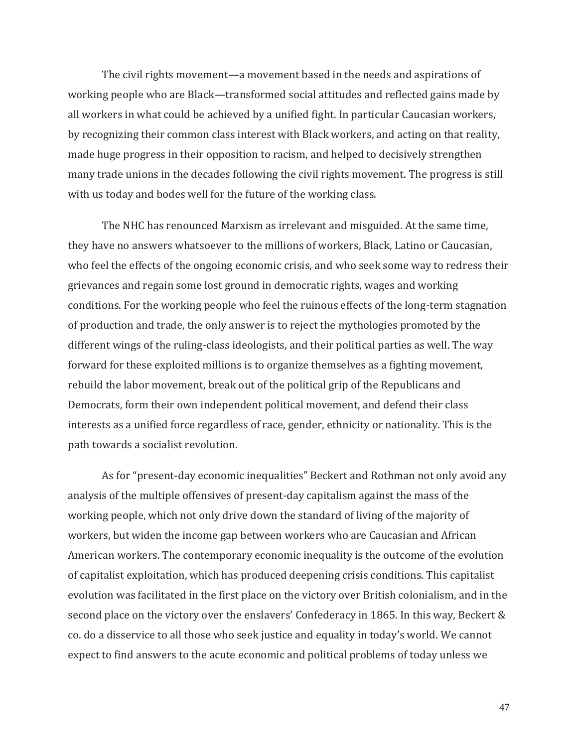The civil rights movement—a movement based in the needs and aspirations of working people who are Black—transformed social attitudes and reflected gains made by all workers in what could be achieved by a unified fight. In particular Caucasian workers, by recognizing their common class interest with Black workers, and acting on that reality, made huge progress in their opposition to racism, and helped to decisively strengthen many trade unions in the decades following the civil rights movement. The progress is still with us today and bodes well for the future of the working class.

The NHC has renounced Marxism as irrelevant and misguided. At the same time, they have no answers whatsoever to the millions of workers, Black, Latino or Caucasian, who feel the effects of the ongoing economic crisis, and who seek some way to redress their grievances and regain some lost ground in democratic rights, wages and working conditions. For the working people who feel the ruinous effects of the long-term stagnation of production and trade, the only answer is to reject the mythologies promoted by the different wings of the ruling-class ideologists, and their political parties as well. The way forward for these exploited millions is to organize themselves as a fighting movement, rebuild the labor movement, break out of the political grip of the Republicans and Democrats, form their own independent political movement, and defend their class interests as a unified force regardless of race, gender, ethnicity or nationality. This is the path towards a socialist revolution.

As for "present-day economic inequalities" Beckert and Rothman not only avoid any analysis of the multiple offensives of present-day capitalism against the mass of the working people, which not only drive down the standard of living of the majority of workers, but widen the income gap between workers who are Caucasian and African American workers. The contemporary economic inequality is the outcome of the evolution of capitalist exploitation, which has produced deepening crisis conditions. This capitalist evolution was facilitated in the first place on the victory over British colonialism, and in the second place on the victory over the enslavers' Confederacy in 1865. In this way, Beckert & co. do a disservice to all those who seek justice and equality in today's world. We cannot expect to find answers to the acute economic and political problems of today unless we